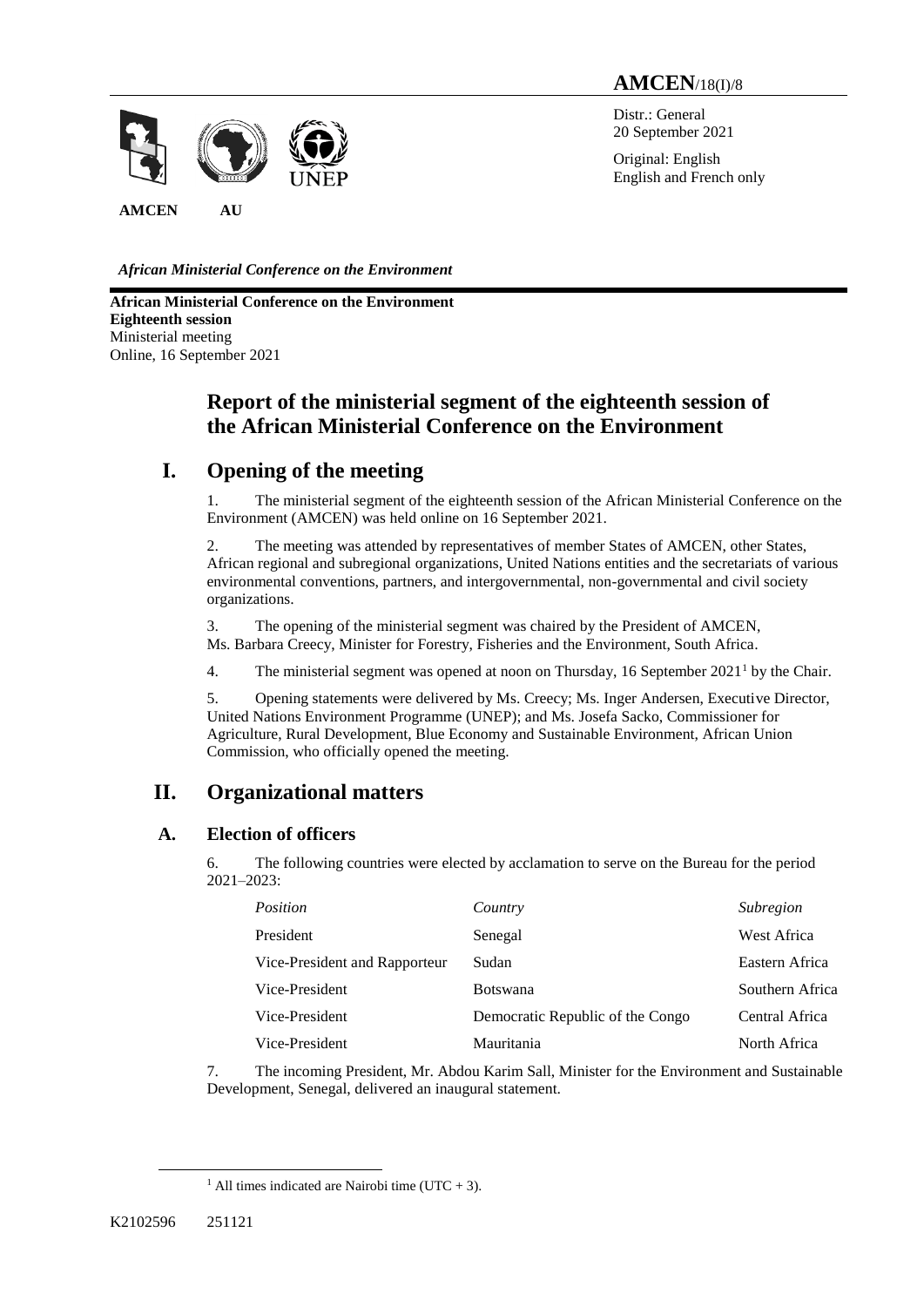# **AMCEN**/18(I)/8

Distr.: General 20 September 2021

Original: English English and French only

*African Ministerial Conference on the Environment*

**AMCEN AU**

**African Ministerial Conference on the Environment Eighteenth session** Ministerial meeting Online, 16 September 2021

# **Report of the ministerial segment of the eighteenth session of the African Ministerial Conference on the Environment**

# **I. Opening of the meeting**

1. The ministerial segment of the eighteenth session of the African Ministerial Conference on the Environment (AMCEN) was held online on 16 September 2021.

2. The meeting was attended by representatives of member States of AMCEN, other States, African regional and subregional organizations, United Nations entities and the secretariats of various environmental conventions, partners, and intergovernmental, non-governmental and civil society organizations.

3. The opening of the ministerial segment was chaired by the President of AMCEN, Ms. Barbara Creecy, Minister for Forestry, Fisheries and the Environment, South Africa.

4. The ministerial segment was opened at noon on Thursday, 16 September  $2021<sup>1</sup>$  by the Chair.

5. Opening statements were delivered by Ms. Creecy; Ms. Inger Andersen, Executive Director, United Nations Environment Programme (UNEP); and Ms. Josefa Sacko, Commissioner for Agriculture, Rural Development, Blue Economy and Sustainable Environment, African Union Commission, who officially opened the meeting.

# **II. Organizational matters**

## **A. Election of officers**

6. The following countries were elected by acclamation to serve on the Bureau for the period 2021–2023:

| <i>Position</i>               | Country                          | Subregion       |
|-------------------------------|----------------------------------|-----------------|
| President                     | Senegal                          | West Africa     |
| Vice-President and Rapporteur | Sudan                            | Eastern Africa  |
| Vice-President                | <b>Botswana</b>                  | Southern Africa |
| Vice-President                | Democratic Republic of the Congo | Central Africa  |
| Vice-President                | Mauritania                       | North Africa    |

7. The incoming President, Mr. Abdou Karim Sall, Minister for the Environment and Sustainable Development, Senegal, delivered an inaugural statement.

 $\overline{a}$ 

<sup>&</sup>lt;sup>1</sup> All times indicated are Nairobi time (UTC + 3).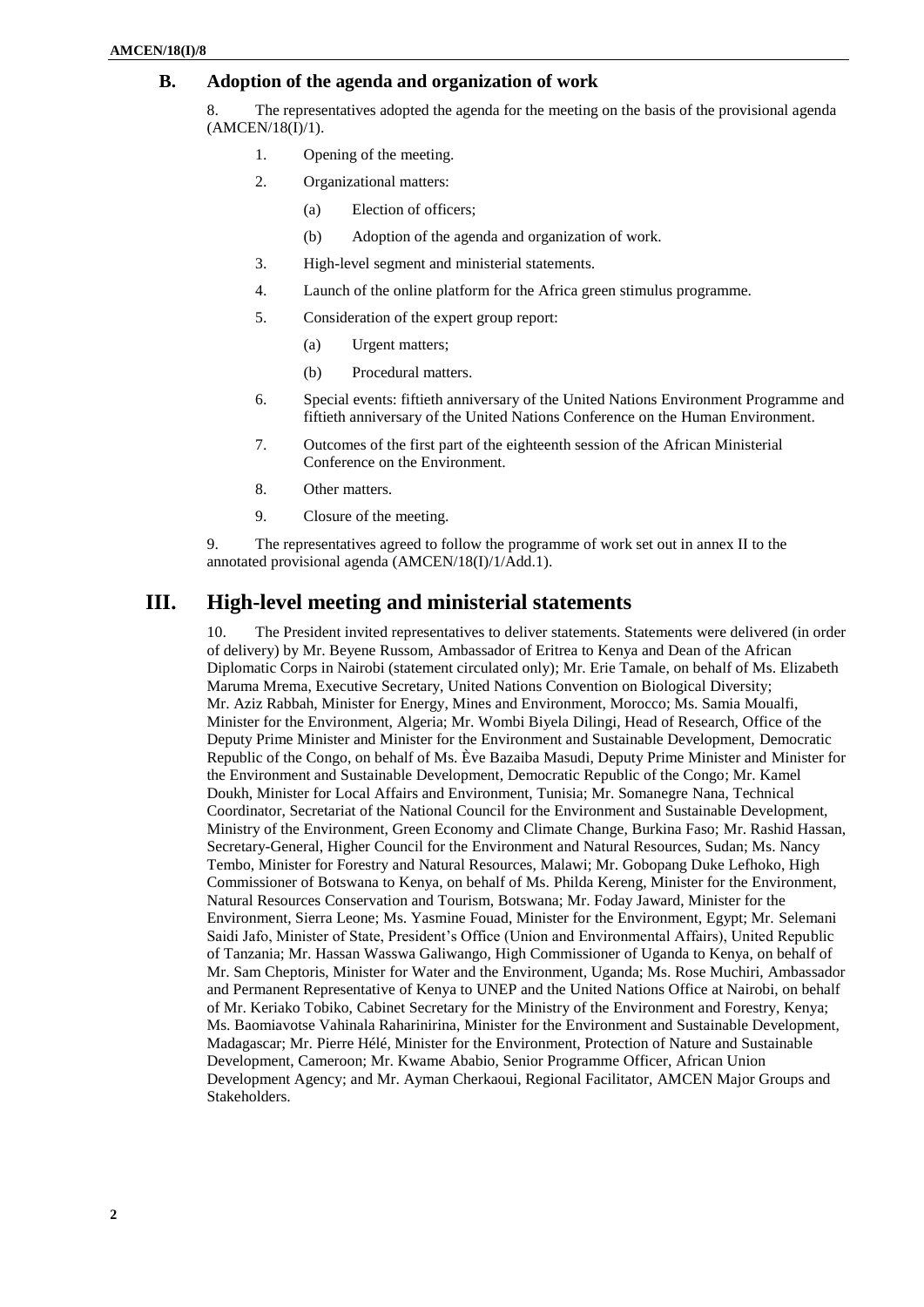## **B. Adoption of the agenda and organization of work**

8. The representatives adopted the agenda for the meeting on the basis of the provisional agenda  $(AMCEN/18(I)/1)$ .

- 1. Opening of the meeting.
- 2. Organizational matters:
	- (a) Election of officers;
		- (b) Adoption of the agenda and organization of work.
- 3. High-level segment and ministerial statements.
- 4. Launch of the online platform for the Africa green stimulus programme.
- 5. Consideration of the expert group report:
	- (a) Urgent matters;
	- (b) Procedural matters.
- 6. Special events: fiftieth anniversary of the United Nations Environment Programme and fiftieth anniversary of the United Nations Conference on the Human Environment.
- 7. Outcomes of the first part of the eighteenth session of the African Ministerial Conference on the Environment.
- 8. Other matters.
- 9. Closure of the meeting.

9. The representatives agreed to follow the programme of work set out in annex II to the annotated provisional agenda (AMCEN/18(I)/1/Add.1).

## **III. High-level meeting and ministerial statements**

10. The President invited representatives to deliver statements. Statements were delivered (in order of delivery) by Mr. Beyene Russom, Ambassador of Eritrea to Kenya and Dean of the African Diplomatic Corps in Nairobi (statement circulated only); Mr. Erie Tamale, on behalf of Ms. Elizabeth Maruma Mrema, Executive Secretary, United Nations Convention on Biological Diversity; Mr. Aziz Rabbah, Minister for Energy, Mines and Environment, Morocco; Ms. Samia Moualfi, Minister for the Environment, Algeria; Mr. Wombi Biyela Dilingi, Head of Research, Office of the Deputy Prime Minister and Minister for the Environment and Sustainable Development, Democratic Republic of the Congo, on behalf of Ms. Ève Bazaiba Masudi, Deputy Prime Minister and Minister for the Environment and Sustainable Development, Democratic Republic of the Congo; Mr. Kamel Doukh, Minister for Local Affairs and Environment, Tunisia; Mr. Somanegre Nana, Technical Coordinator, Secretariat of the National Council for the Environment and Sustainable Development, Ministry of the Environment, Green Economy and Climate Change, Burkina Faso; Mr. Rashid Hassan, Secretary-General, Higher Council for the Environment and Natural Resources, Sudan; Ms. Nancy Tembo, Minister for Forestry and Natural Resources, Malawi; Mr. Gobopang Duke Lefhoko, High Commissioner of Botswana to Kenya, on behalf of Ms. Philda Kereng, Minister for the Environment, Natural Resources Conservation and Tourism, Botswana; Mr. Foday Jaward, Minister for the Environment, Sierra Leone; Ms. Yasmine Fouad, Minister for the Environment, Egypt; Mr. Selemani Saidi Jafo, Minister of State, President's Office (Union and Environmental Affairs), United Republic of Tanzania; Mr. Hassan Wasswa Galiwango, High Commissioner of Uganda to Kenya, on behalf of Mr. Sam Cheptoris, Minister for Water and the Environment, Uganda; Ms. Rose Muchiri, Ambassador and Permanent Representative of Kenya to UNEP and the United Nations Office at Nairobi, on behalf of Mr. Keriako Tobiko, Cabinet Secretary for the Ministry of the Environment and Forestry, Kenya; Ms. Baomiavotse Vahinala Raharinirina, Minister for the Environment and Sustainable Development, Madagascar; Mr. Pierre Hélé, Minister for the Environment, Protection of Nature and Sustainable Development, Cameroon; Mr. Kwame Ababio, Senior Programme Officer, African Union Development Agency; and Mr. Ayman Cherkaoui, Regional Facilitator, AMCEN Major Groups and Stakeholders.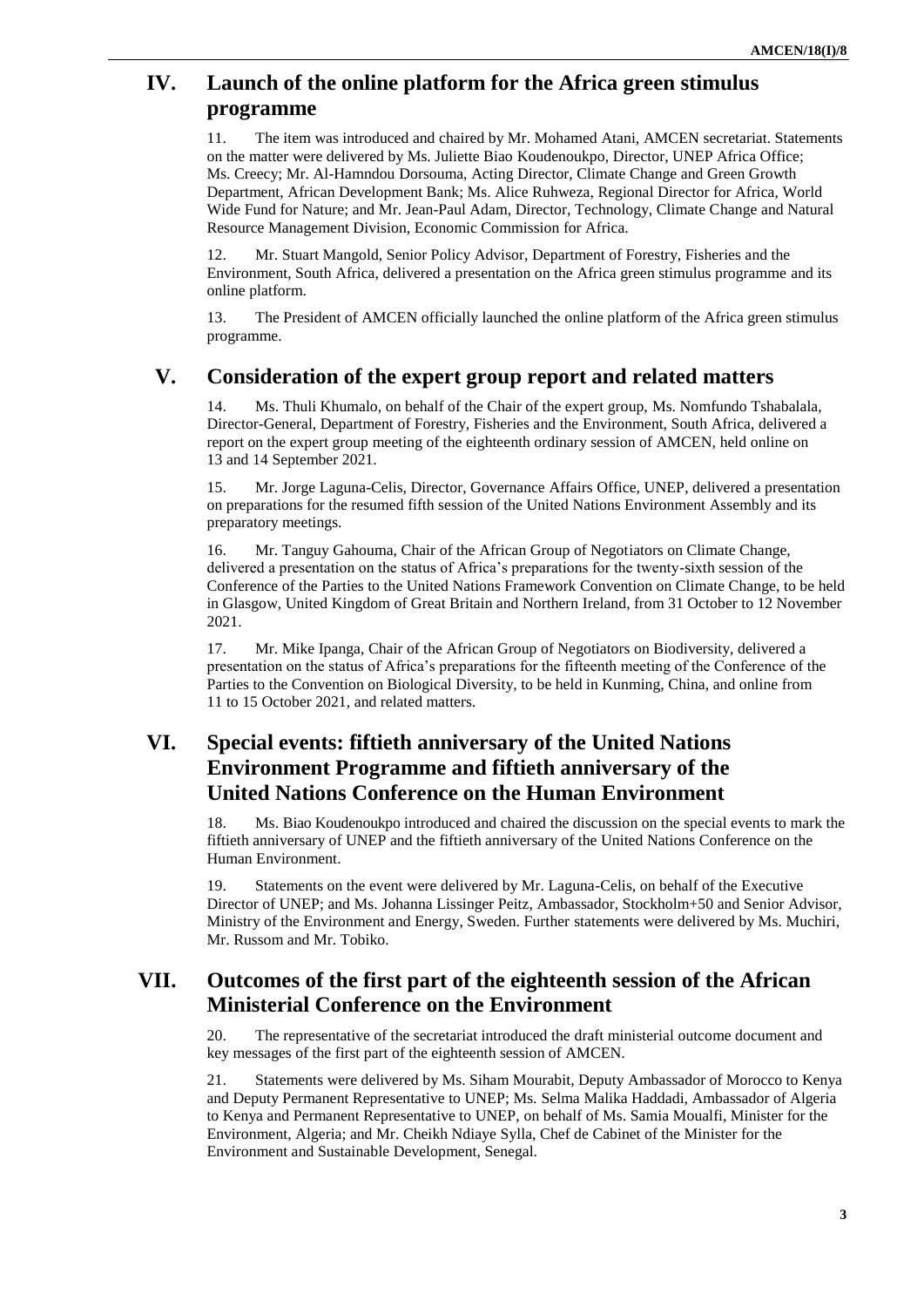# **IV. Launch of the online platform for the Africa green stimulus programme**

11. The item was introduced and chaired by Mr. Mohamed Atani, AMCEN secretariat. Statements on the matter were delivered by Ms. Juliette Biao Koudenoukpo, Director, UNEP Africa Office; Ms. Creecy; Mr. Al-Hamndou Dorsouma, Acting Director, Climate Change and Green Growth Department, African Development Bank; Ms. Alice Ruhweza, Regional Director for Africa, World Wide Fund for Nature; and Mr. Jean-Paul Adam, Director, Technology, Climate Change and Natural Resource Management Division, Economic Commission for Africa.

12. Mr. Stuart Mangold, Senior Policy Advisor, Department of Forestry, Fisheries and the Environment, South Africa, delivered a presentation on the Africa green stimulus programme and its online platform.

13. The President of AMCEN officially launched the online platform of the Africa green stimulus programme.

## **V. Consideration of the expert group report and related matters**

Ms. Thuli Khumalo, on behalf of the Chair of the expert group, Ms. Nomfundo Tshabalala, Director-General, Department of Forestry, Fisheries and the Environment, South Africa, delivered a report on the expert group meeting of the eighteenth ordinary session of AMCEN, held online on 13 and 14 September 2021.

15. Mr. Jorge Laguna-Celis, Director, Governance Affairs Office, UNEP, delivered a presentation on preparations for the resumed fifth session of the United Nations Environment Assembly and its preparatory meetings.

16. Mr. Tanguy Gahouma, Chair of the African Group of Negotiators on Climate Change, delivered a presentation on the status of Africa's preparations for the twenty-sixth session of the Conference of the Parties to the United Nations Framework Convention on Climate Change, to be held in Glasgow, United Kingdom of Great Britain and Northern Ireland, from 31 October to 12 November 2021.

17. Mr. Mike Ipanga, Chair of the African Group of Negotiators on Biodiversity, delivered a presentation on the status of Africa's preparations for the fifteenth meeting of the Conference of the Parties to the Convention on Biological Diversity, to be held in Kunming, China, and online from 11 to 15 October 2021, and related matters.

# **VI. Special events: fiftieth anniversary of the United Nations Environment Programme and fiftieth anniversary of the United Nations Conference on the Human Environment**

18. Ms. Biao Koudenoukpo introduced and chaired the discussion on the special events to mark the fiftieth anniversary of UNEP and the fiftieth anniversary of the United Nations Conference on the Human Environment.

19. Statements on the event were delivered by Mr. Laguna-Celis, on behalf of the Executive Director of UNEP; and Ms. Johanna Lissinger Peitz, Ambassador, Stockholm+50 and Senior Advisor, Ministry of the Environment and Energy, Sweden. Further statements were delivered by Ms. Muchiri, Mr. Russom and Mr. Tobiko.

# **VII. Outcomes of the first part of the eighteenth session of the African Ministerial Conference on the Environment**

20. The representative of the secretariat introduced the draft ministerial outcome document and key messages of the first part of the eighteenth session of AMCEN.

21. Statements were delivered by Ms. Siham Mourabit, Deputy Ambassador of Morocco to Kenya and Deputy Permanent Representative to UNEP; Ms. Selma Malika Haddadi, Ambassador of Algeria to Kenya and Permanent Representative to UNEP, on behalf of Ms. Samia Moualfi, Minister for the Environment, Algeria; and Mr. Cheikh Ndiaye Sylla, Chef de Cabinet of the Minister for the Environment and Sustainable Development, Senegal.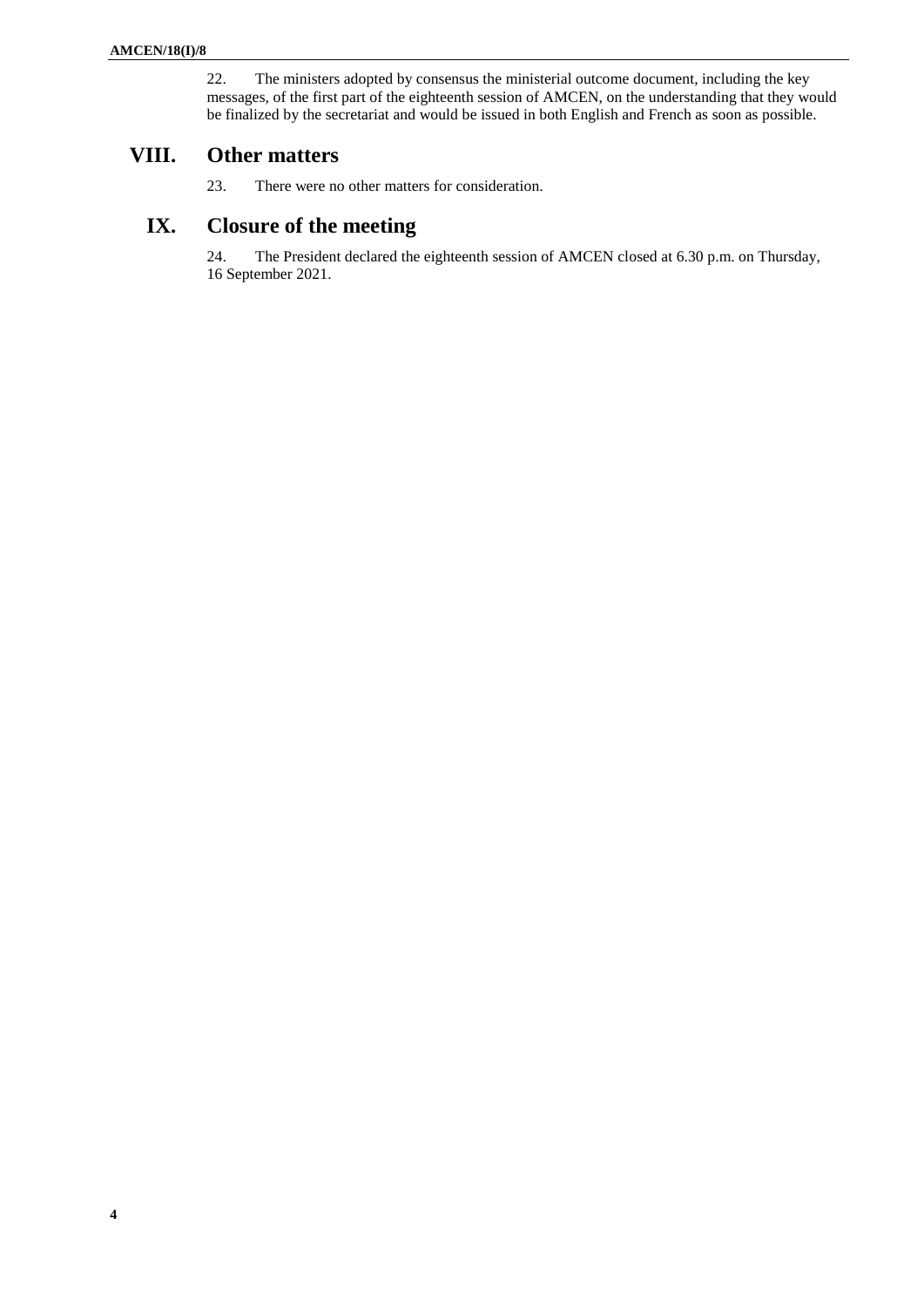22. The ministers adopted by consensus the ministerial outcome document, including the key messages, of the first part of the eighteenth session of AMCEN, on the understanding that they would be finalized by the secretariat and would be issued in both English and French as soon as possible.

# **VIII. Other matters**

23. There were no other matters for consideration.

# **IX. Closure of the meeting**

24. The President declared the eighteenth session of AMCEN closed at 6.30 p.m. on Thursday, 16 September 2021.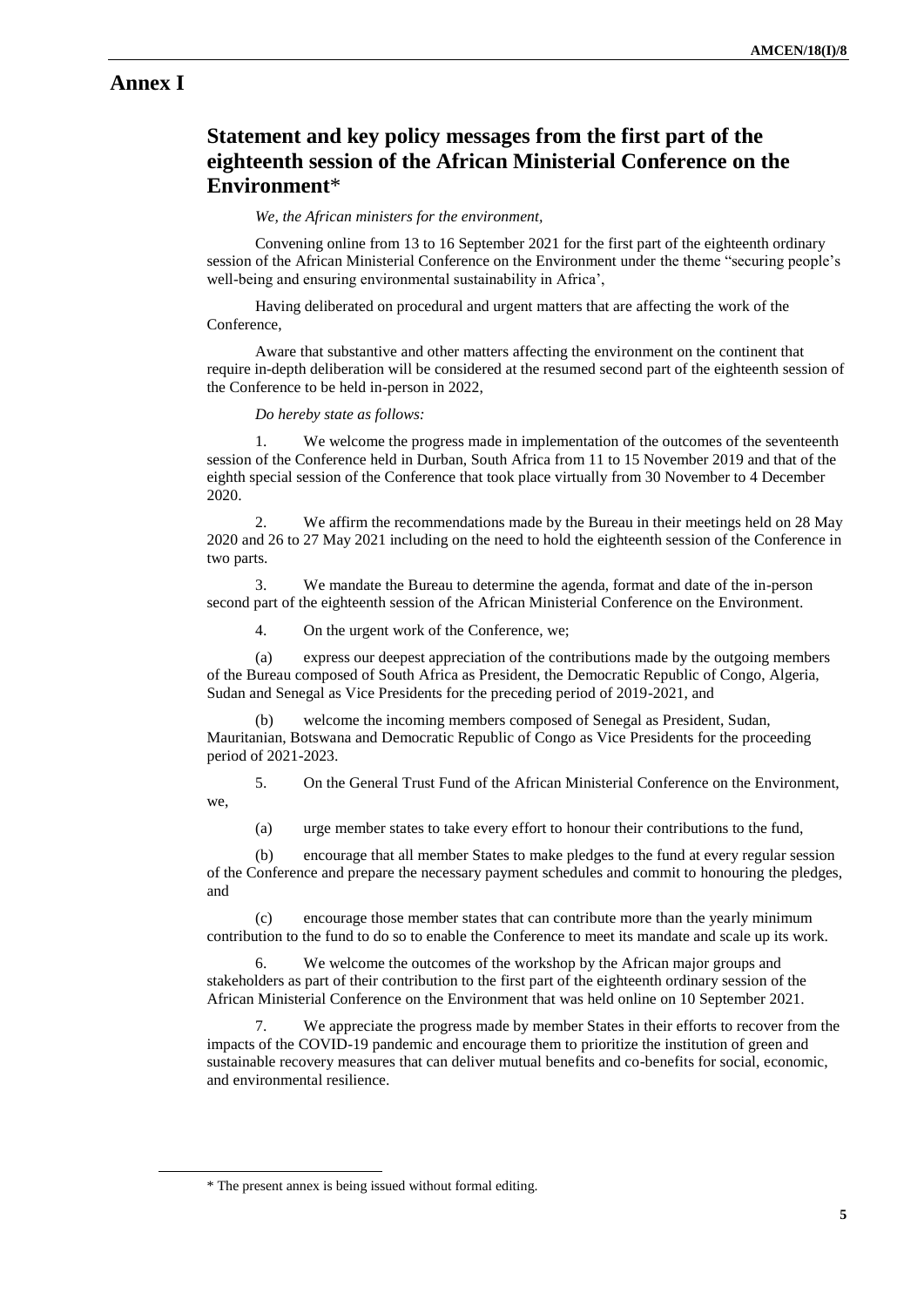## **Annex I**

# **Statement and key policy messages from the first part of the eighteenth session of the African Ministerial Conference on the Environment**\*

### *We, the African ministers for the environment,*

Convening online from 13 to 16 September 2021 for the first part of the eighteenth ordinary session of the African Ministerial Conference on the Environment under the theme "securing people's well-being and ensuring environmental sustainability in Africa',

Having deliberated on procedural and urgent matters that are affecting the work of the Conference,

Aware that substantive and other matters affecting the environment on the continent that require in-depth deliberation will be considered at the resumed second part of the eighteenth session of the Conference to be held in-person in 2022,

#### *Do hereby state as follows:*

1. We welcome the progress made in implementation of the outcomes of the seventeenth session of the Conference held in Durban, South Africa from 11 to 15 November 2019 and that of the eighth special session of the Conference that took place virtually from 30 November to 4 December 2020.

We affirm the recommendations made by the Bureau in their meetings held on 28 May 2020 and 26 to 27 May 2021 including on the need to hold the eighteenth session of the Conference in two parts.

3. We mandate the Bureau to determine the agenda, format and date of the in-person second part of the eighteenth session of the African Ministerial Conference on the Environment.

4. On the urgent work of the Conference, we;

(a) express our deepest appreciation of the contributions made by the outgoing members of the Bureau composed of South Africa as President, the Democratic Republic of Congo, Algeria, Sudan and Senegal as Vice Presidents for the preceding period of 2019-2021, and

(b) welcome the incoming members composed of Senegal as President, Sudan, Mauritanian, Botswana and Democratic Republic of Congo as Vice Presidents for the proceeding period of 2021-2023.

5. On the General Trust Fund of the African Ministerial Conference on the Environment, we,

(a) urge member states to take every effort to honour their contributions to the fund,

(b) encourage that all member States to make pledges to the fund at every regular session of the Conference and prepare the necessary payment schedules and commit to honouring the pledges, and

(c) encourage those member states that can contribute more than the yearly minimum contribution to the fund to do so to enable the Conference to meet its mandate and scale up its work.

We welcome the outcomes of the workshop by the African major groups and stakeholders as part of their contribution to the first part of the eighteenth ordinary session of the African Ministerial Conference on the Environment that was held online on 10 September 2021.

7. We appreciate the progress made by member States in their efforts to recover from the impacts of the COVID-19 pandemic and encourage them to prioritize the institution of green and sustainable recovery measures that can deliver mutual benefits and co-benefits for social, economic, and environmental resilience.

 $\overline{a}$ 

<sup>\*</sup> The present annex is being issued without formal editing.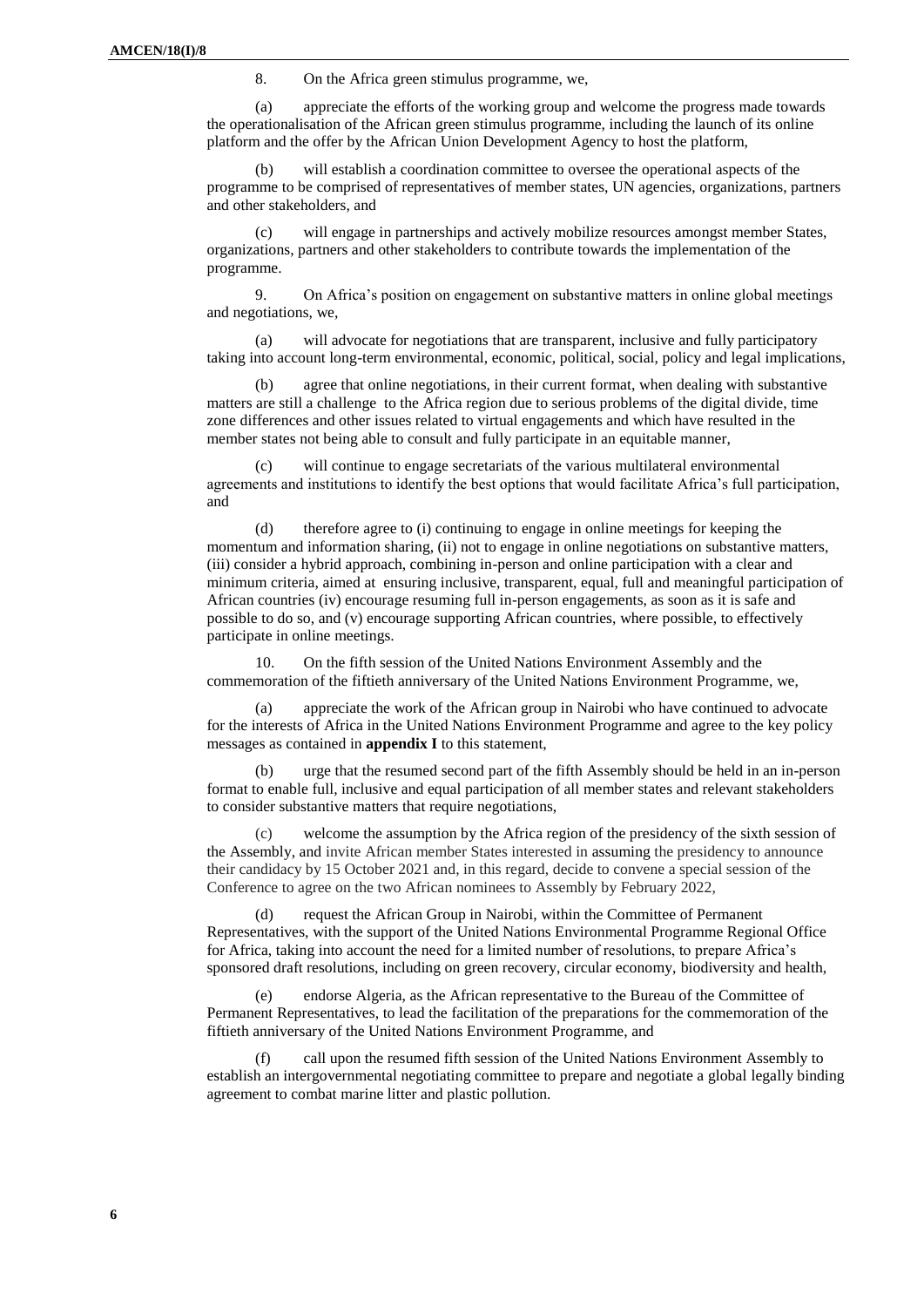8. On the Africa green stimulus programme, we,

(a) appreciate the efforts of the working group and welcome the progress made towards the operationalisation of the African green stimulus programme, including the launch of its online platform and the offer by the African Union Development Agency to host the platform,

will establish a coordination committee to oversee the operational aspects of the programme to be comprised of representatives of member states, UN agencies, organizations, partners and other stakeholders, and

(c) will engage in partnerships and actively mobilize resources amongst member States, organizations, partners and other stakeholders to contribute towards the implementation of the programme.

9. On Africa's position on engagement on substantive matters in online global meetings and negotiations, we,

(a) will advocate for negotiations that are transparent, inclusive and fully participatory taking into account long-term environmental, economic, political, social, policy and legal implications,

(b) agree that online negotiations, in their current format, when dealing with substantive matters are still a challenge to the Africa region due to serious problems of the digital divide, time zone differences and other issues related to virtual engagements and which have resulted in the member states not being able to consult and fully participate in an equitable manner,

(c) will continue to engage secretariats of the various multilateral environmental agreements and institutions to identify the best options that would facilitate Africa's full participation, and

(d) therefore agree to (i) continuing to engage in online meetings for keeping the momentum and information sharing, (ii) not to engage in online negotiations on substantive matters, (iii) consider a hybrid approach, combining in-person and online participation with a clear and minimum criteria, aimed at ensuring inclusive, transparent, equal, full and meaningful participation of African countries (iv) encourage resuming full in-person engagements, as soon as it is safe and possible to do so, and (v) encourage supporting African countries, where possible, to effectively participate in online meetings.

10. On the fifth session of the United Nations Environment Assembly and the commemoration of the fiftieth anniversary of the United Nations Environment Programme, we,

(a) appreciate the work of the African group in Nairobi who have continued to advocate for the interests of Africa in the United Nations Environment Programme and agree to the key policy messages as contained in **appendix I** to this statement,

(b) urge that the resumed second part of the fifth Assembly should be held in an in-person format to enable full, inclusive and equal participation of all member states and relevant stakeholders to consider substantive matters that require negotiations,

welcome the assumption by the Africa region of the presidency of the sixth session of the Assembly, and invite African member States interested in assuming the presidency to announce their candidacy by 15 October 2021 and, in this regard, decide to convene a special session of the Conference to agree on the two African nominees to Assembly by February 2022,

(d) request the African Group in Nairobi, within the Committee of Permanent Representatives, with the support of the United Nations Environmental Programme Regional Office for Africa, taking into account the need for a limited number of resolutions, to prepare Africa's sponsored draft resolutions, including on green recovery, circular economy, biodiversity and health,

(e) endorse Algeria, as the African representative to the Bureau of the Committee of Permanent Representatives, to lead the facilitation of the preparations for the commemoration of the fiftieth anniversary of the United Nations Environment Programme, and

(f) call upon the resumed fifth session of the United Nations Environment Assembly to establish an intergovernmental negotiating committee to prepare and negotiate a global legally binding agreement to combat marine litter and plastic pollution.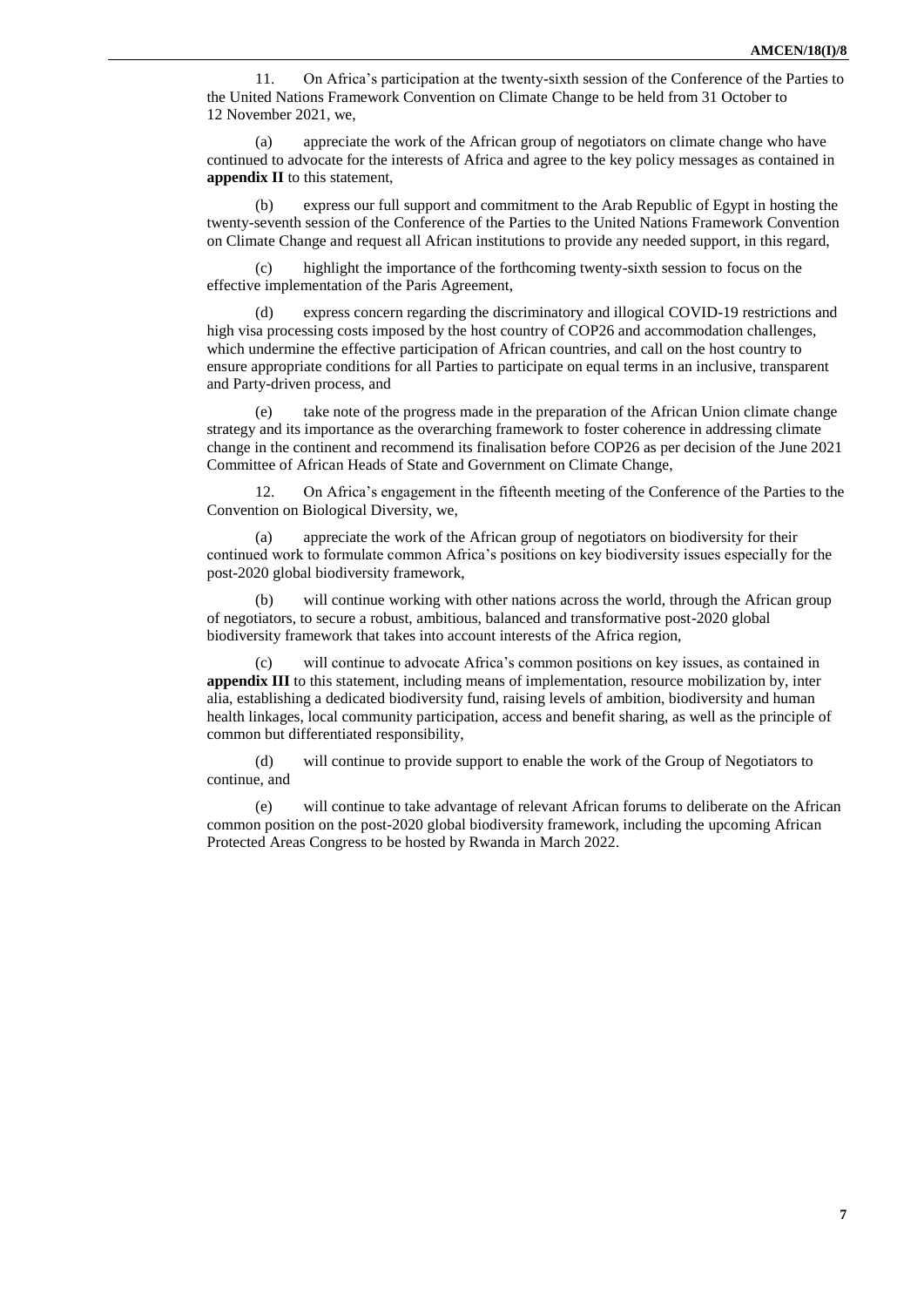11. On Africa's participation at the twenty-sixth session of the Conference of the Parties to the United Nations Framework Convention on Climate Change to be held from 31 October to 12 November 2021, we,

(a) appreciate the work of the African group of negotiators on climate change who have continued to advocate for the interests of Africa and agree to the key policy messages as contained in **appendix II** to this statement,

(b) express our full support and commitment to the Arab Republic of Egypt in hosting the twenty-seventh session of the Conference of the Parties to the United Nations Framework Convention on Climate Change and request all African institutions to provide any needed support, in this regard,

(c) highlight the importance of the forthcoming twenty-sixth session to focus on the effective implementation of the Paris Agreement,

(d) express concern regarding the discriminatory and illogical COVID-19 restrictions and high visa processing costs imposed by the host country of COP26 and accommodation challenges, which undermine the effective participation of African countries, and call on the host country to ensure appropriate conditions for all Parties to participate on equal terms in an inclusive, transparent and Party-driven process, and

(e) take note of the progress made in the preparation of the African Union climate change strategy and its importance as the overarching framework to foster coherence in addressing climate change in the continent and recommend its finalisation before COP26 as per decision of the June 2021 Committee of African Heads of State and Government on Climate Change,

12. On Africa's engagement in the fifteenth meeting of the Conference of the Parties to the Convention on Biological Diversity, we,

(a) appreciate the work of the African group of negotiators on biodiversity for their continued work to formulate common Africa's positions on key biodiversity issues especially for the post-2020 global biodiversity framework,

(b) will continue working with other nations across the world, through the African group of negotiators, to secure a robust, ambitious, balanced and transformative post-2020 global biodiversity framework that takes into account interests of the Africa region,

(c) will continue to advocate Africa's common positions on key issues, as contained in **appendix III** to this statement, including means of implementation, resource mobilization by, inter alia, establishing a dedicated biodiversity fund, raising levels of ambition, biodiversity and human health linkages, local community participation, access and benefit sharing, as well as the principle of common but differentiated responsibility,

(d) will continue to provide support to enable the work of the Group of Negotiators to continue, and

(e) will continue to take advantage of relevant African forums to deliberate on the African common position on the post-2020 global biodiversity framework, including the upcoming African Protected Areas Congress to be hosted by Rwanda in March 2022.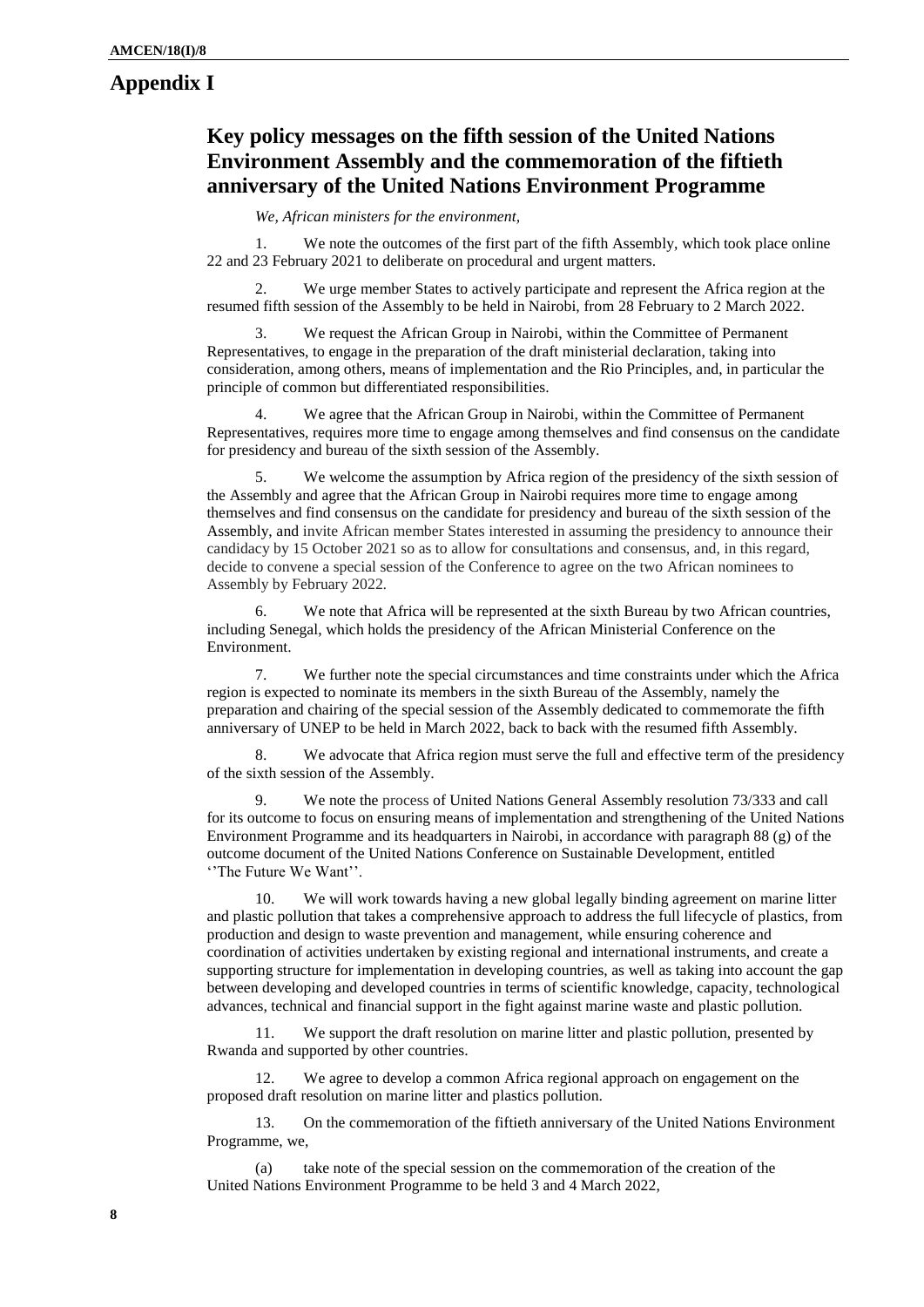## **Appendix I**

# **Key policy messages on the fifth session of the United Nations Environment Assembly and the commemoration of the fiftieth anniversary of the United Nations Environment Programme**

*We, African ministers for the environment,* 

1. We note the outcomes of the first part of the fifth Assembly, which took place online 22 and 23 February 2021 to deliberate on procedural and urgent matters.

We urge member States to actively participate and represent the Africa region at the resumed fifth session of the Assembly to be held in Nairobi, from 28 February to 2 March 2022.

3. We request the African Group in Nairobi, within the Committee of Permanent Representatives, to engage in the preparation of the draft ministerial declaration, taking into consideration, among others, means of implementation and the Rio Principles, and, in particular the principle of common but differentiated responsibilities.

We agree that the African Group in Nairobi, within the Committee of Permanent Representatives, requires more time to engage among themselves and find consensus on the candidate for presidency and bureau of the sixth session of the Assembly.

5. We welcome the assumption by Africa region of the presidency of the sixth session of the Assembly and agree that the African Group in Nairobi requires more time to engage among themselves and find consensus on the candidate for presidency and bureau of the sixth session of the Assembly, and invite African member States interested in assuming the presidency to announce their candidacy by 15 October 2021 so as to allow for consultations and consensus, and, in this regard, decide to convene a special session of the Conference to agree on the two African nominees to Assembly by February 2022*.*

6. We note that Africa will be represented at the sixth Bureau by two African countries, including Senegal, which holds the presidency of the African Ministerial Conference on the Environment.

7. We further note the special circumstances and time constraints under which the Africa region is expected to nominate its members in the sixth Bureau of the Assembly, namely the preparation and chairing of the special session of the Assembly dedicated to commemorate the fifth anniversary of UNEP to be held in March 2022, back to back with the resumed fifth Assembly.

8. We advocate that Africa region must serve the full and effective term of the presidency of the sixth session of the Assembly.

9. We note the process of United Nations General Assembly resolution 73/333 and call for its outcome to focus on ensuring means of implementation and strengthening of the United Nations Environment Programme and its headquarters in Nairobi, in accordance with paragraph 88 (g) of the outcome document of the United Nations Conference on Sustainable Development, entitled ''The Future We Want''.

10. We will work towards having a new global legally binding agreement on marine litter and plastic pollution that takes a comprehensive approach to address the full lifecycle of plastics, from production and design to waste prevention and management, while ensuring coherence and coordination of activities undertaken by existing regional and international instruments, and create a supporting structure for implementation in developing countries, as well as taking into account the gap between developing and developed countries in terms of scientific knowledge, capacity, technological advances, technical and financial support in the fight against marine waste and plastic pollution.

11. We support the draft resolution on marine litter and plastic pollution, presented by Rwanda and supported by other countries.

12. We agree to develop a common Africa regional approach on engagement on the proposed draft resolution on marine litter and plastics pollution.

13. On the commemoration of the fiftieth anniversary of the United Nations Environment Programme, we,

(a) take note of the special session on the commemoration of the creation of the United Nations Environment Programme to be held 3 and 4 March 2022,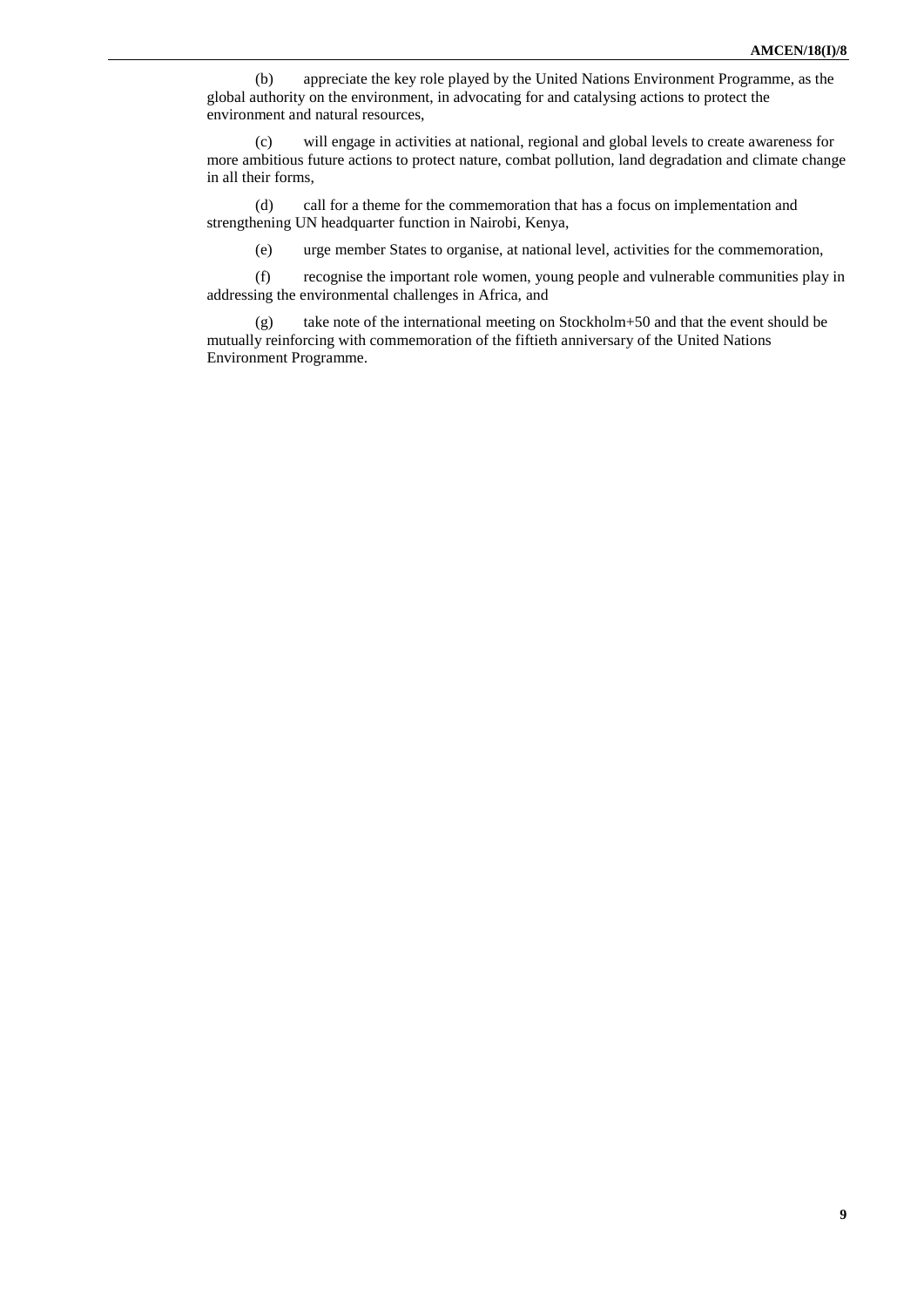(b) appreciate the key role played by the United Nations Environment Programme, as the global authority on the environment, in advocating for and catalysing actions to protect the environment and natural resources,

(c) will engage in activities at national, regional and global levels to create awareness for more ambitious future actions to protect nature, combat pollution, land degradation and climate change in all their forms,

(d) call for a theme for the commemoration that has a focus on implementation and strengthening UN headquarter function in Nairobi, Kenya,

(e) urge member States to organise, at national level, activities for the commemoration,

(f) recognise the important role women, young people and vulnerable communities play in addressing the environmental challenges in Africa, and

(g) take note of the international meeting on Stockholm+50 and that the event should be mutually reinforcing with commemoration of the fiftieth anniversary of the United Nations Environment Programme.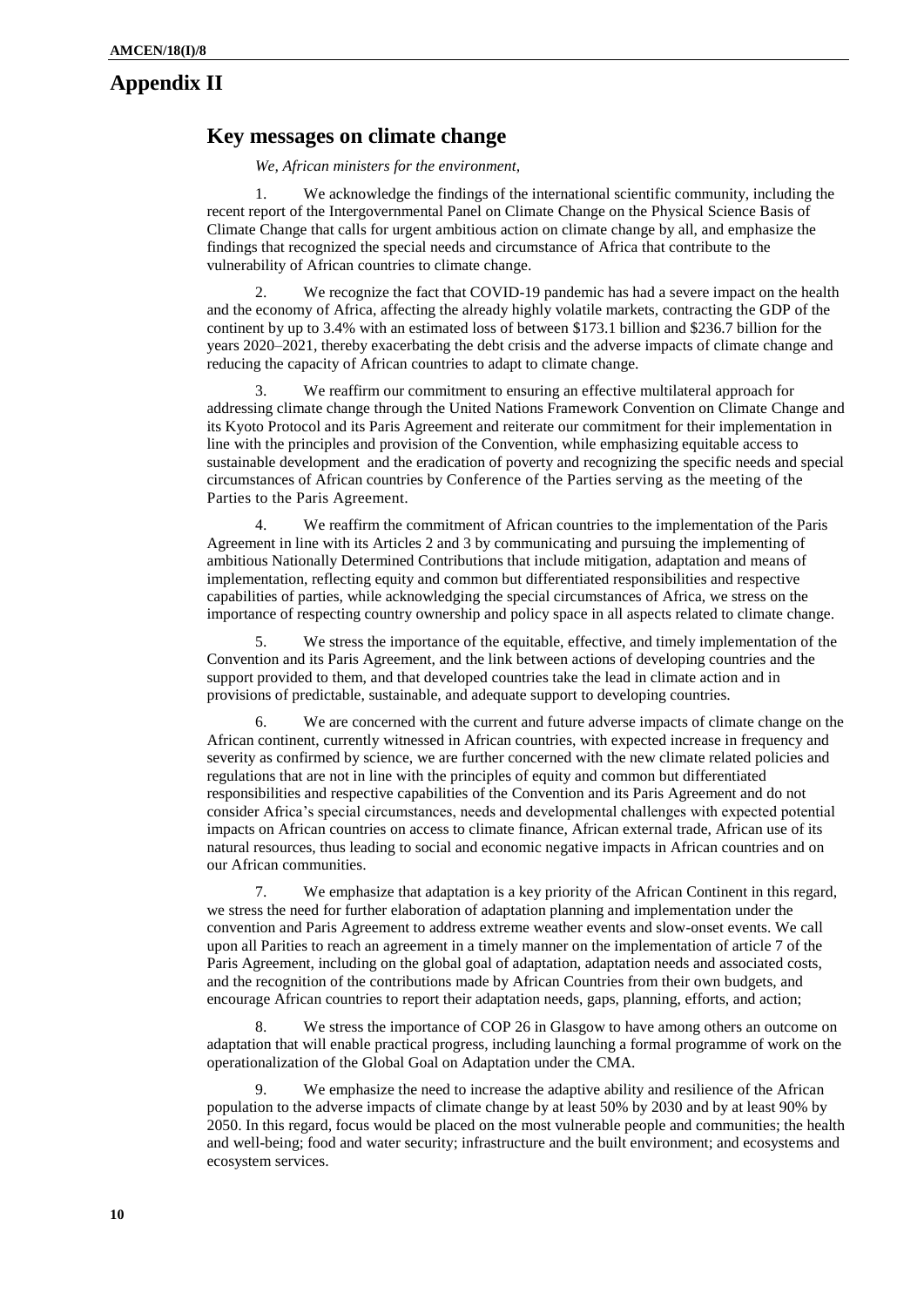## **Appendix II**

## **Key messages on climate change**

*We, African ministers for the environment,* 

1. We acknowledge the findings of the international scientific community, including the recent report of the Intergovernmental Panel on Climate Change on the Physical Science Basis of Climate Change that calls for urgent ambitious action on climate change by all, and emphasize the findings that recognized the special needs and circumstance of Africa that contribute to the vulnerability of African countries to climate change.

2. We recognize the fact that COVID-19 pandemic has had a severe impact on the health and the economy of Africa, affecting the already highly volatile markets, contracting the GDP of the continent by up to 3.4% with an estimated loss of between \$173.1 billion and \$236.7 billion for the years 2020–2021, thereby exacerbating the debt crisis and the adverse impacts of climate change and reducing the capacity of African countries to adapt to climate change.

3. We reaffirm our commitment to ensuring an effective multilateral approach for addressing climate change through the United Nations Framework Convention on Climate Change and its Kyoto Protocol and its Paris Agreement and reiterate our commitment for their implementation in line with the principles and provision of the Convention, while emphasizing equitable access to sustainable development and the eradication of poverty and recognizing the specific needs and special circumstances of African countries by Conference of the Parties serving as the meeting of the Parties to the Paris Agreement.

4. We reaffirm the commitment of African countries to the implementation of the Paris Agreement in line with its Articles 2 and 3 by communicating and pursuing the implementing of ambitious Nationally Determined Contributions that include mitigation, adaptation and means of implementation, reflecting equity and common but differentiated responsibilities and respective capabilities of parties, while acknowledging the special circumstances of Africa, we stress on the importance of respecting country ownership and policy space in all aspects related to climate change.

5. We stress the importance of the equitable, effective, and timely implementation of the Convention and its Paris Agreement, and the link between actions of developing countries and the support provided to them, and that developed countries take the lead in climate action and in provisions of predictable, sustainable, and adequate support to developing countries.

6. We are concerned with the current and future adverse impacts of climate change on the African continent, currently witnessed in African countries, with expected increase in frequency and severity as confirmed by science, we are further concerned with the new climate related policies and regulations that are not in line with the principles of equity and common but differentiated responsibilities and respective capabilities of the Convention and its Paris Agreement and do not consider Africa's special circumstances, needs and developmental challenges with expected potential impacts on African countries on access to climate finance, African external trade, African use of its natural resources, thus leading to social and economic negative impacts in African countries and on our African communities.

7. We emphasize that adaptation is a key priority of the African Continent in this regard, we stress the need for further elaboration of adaptation planning and implementation under the convention and Paris Agreement to address extreme weather events and slow-onset events. We call upon all Parities to reach an agreement in a timely manner on the implementation of article 7 of the Paris Agreement, including on the global goal of adaptation, adaptation needs and associated costs, and the recognition of the contributions made by African Countries from their own budgets, and encourage African countries to report their adaptation needs, gaps, planning, efforts, and action;

8. We stress the importance of COP 26 in Glasgow to have among others an outcome on adaptation that will enable practical progress, including launching a formal programme of work on the operationalization of the Global Goal on Adaptation under the CMA.

9. We emphasize the need to increase the adaptive ability and resilience of the African population to the adverse impacts of climate change by at least 50% by 2030 and by at least 90% by 2050. In this regard, focus would be placed on the most vulnerable people and communities; the health and well-being; food and water security; infrastructure and the built environment; and ecosystems and ecosystem services.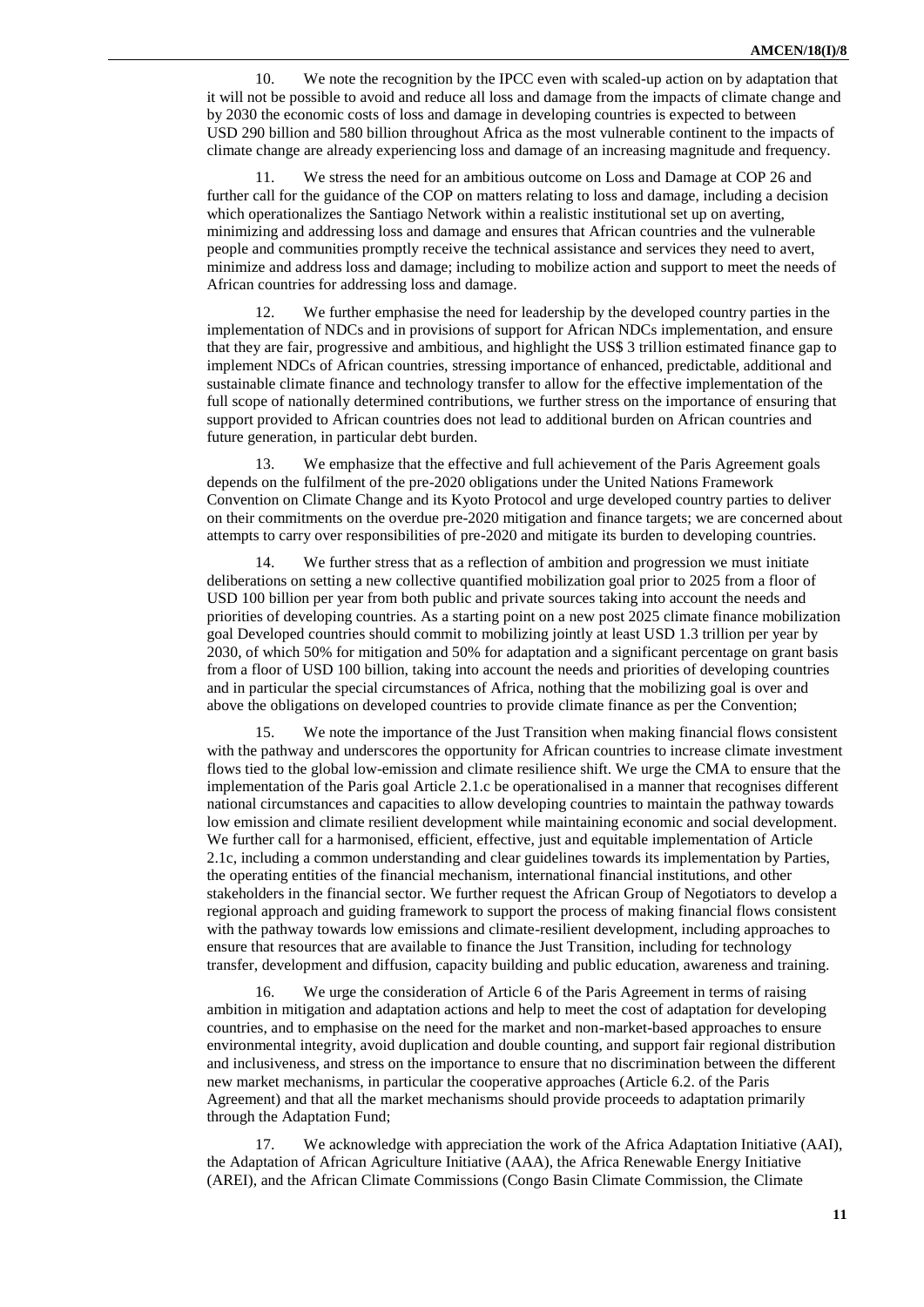10. We note the recognition by the IPCC even with scaled-up action on by adaptation that it will not be possible to avoid and reduce all loss and damage from the impacts of climate change and by 2030 the economic costs of loss and damage in developing countries is expected to between USD 290 billion and 580 billion throughout Africa as the most vulnerable continent to the impacts of climate change are already experiencing loss and damage of an increasing magnitude and frequency.

11. We stress the need for an ambitious outcome on Loss and Damage at COP 26 and further call for the guidance of the COP on matters relating to loss and damage, including a decision which operationalizes the Santiago Network within a realistic institutional set up on averting, minimizing and addressing loss and damage and ensures that African countries and the vulnerable people and communities promptly receive the technical assistance and services they need to avert, minimize and address loss and damage; including to mobilize action and support to meet the needs of African countries for addressing loss and damage.

We further emphasise the need for leadership by the developed country parties in the implementation of NDCs and in provisions of support for African NDCs implementation, and ensure that they are fair, progressive and ambitious, and highlight the US\$ 3 trillion estimated finance gap to implement NDCs of African countries, stressing importance of enhanced, predictable, additional and sustainable climate finance and technology transfer to allow for the effective implementation of the full scope of nationally determined contributions, we further stress on the importance of ensuring that support provided to African countries does not lead to additional burden on African countries and future generation, in particular debt burden.

13. We emphasize that the effective and full achievement of the Paris Agreement goals depends on the fulfilment of the pre-2020 obligations under the United Nations Framework Convention on Climate Change and its Kyoto Protocol and urge developed country parties to deliver on their commitments on the overdue pre-2020 mitigation and finance targets; we are concerned about attempts to carry over responsibilities of pre-2020 and mitigate its burden to developing countries.

14. We further stress that as a reflection of ambition and progression we must initiate deliberations on setting a new collective quantified mobilization goal prior to 2025 from a floor of USD 100 billion per year from both public and private sources taking into account the needs and priorities of developing countries. As a starting point on a new post 2025 climate finance mobilization goal Developed countries should commit to mobilizing jointly at least USD 1.3 trillion per year by 2030, of which 50% for mitigation and 50% for adaptation and a significant percentage on grant basis from a floor of USD 100 billion, taking into account the needs and priorities of developing countries and in particular the special circumstances of Africa, nothing that the mobilizing goal is over and above the obligations on developed countries to provide climate finance as per the Convention;

15. We note the importance of the Just Transition when making financial flows consistent with the pathway and underscores the opportunity for African countries to increase climate investment flows tied to the global low-emission and climate resilience shift. We urge the CMA to ensure that the implementation of the Paris goal Article 2.1.c be operationalised in a manner that recognises different national circumstances and capacities to allow developing countries to maintain the pathway towards low emission and climate resilient development while maintaining economic and social development. We further call for a harmonised, efficient, effective, just and equitable implementation of Article 2.1c, including a common understanding and clear guidelines towards its implementation by Parties, the operating entities of the financial mechanism, international financial institutions, and other stakeholders in the financial sector. We further request the African Group of Negotiators to develop a regional approach and guiding framework to support the process of making financial flows consistent with the pathway towards low emissions and climate-resilient development, including approaches to ensure that resources that are available to finance the Just Transition, including for technology transfer, development and diffusion, capacity building and public education, awareness and training.

16. We urge the consideration of Article 6 of the Paris Agreement in terms of raising ambition in mitigation and adaptation actions and help to meet the cost of adaptation for developing countries, and to emphasise on the need for the market and non-market-based approaches to ensure environmental integrity, avoid duplication and double counting, and support fair regional distribution and inclusiveness, and stress on the importance to ensure that no discrimination between the different new market mechanisms, in particular the cooperative approaches (Article 6.2. of the Paris Agreement) and that all the market mechanisms should provide proceeds to adaptation primarily through the Adaptation Fund;

17. We acknowledge with appreciation the work of the Africa Adaptation Initiative (AAI), the Adaptation of African Agriculture Initiative (AAA), the Africa Renewable Energy Initiative (AREI), and the African Climate Commissions (Congo Basin Climate Commission, the Climate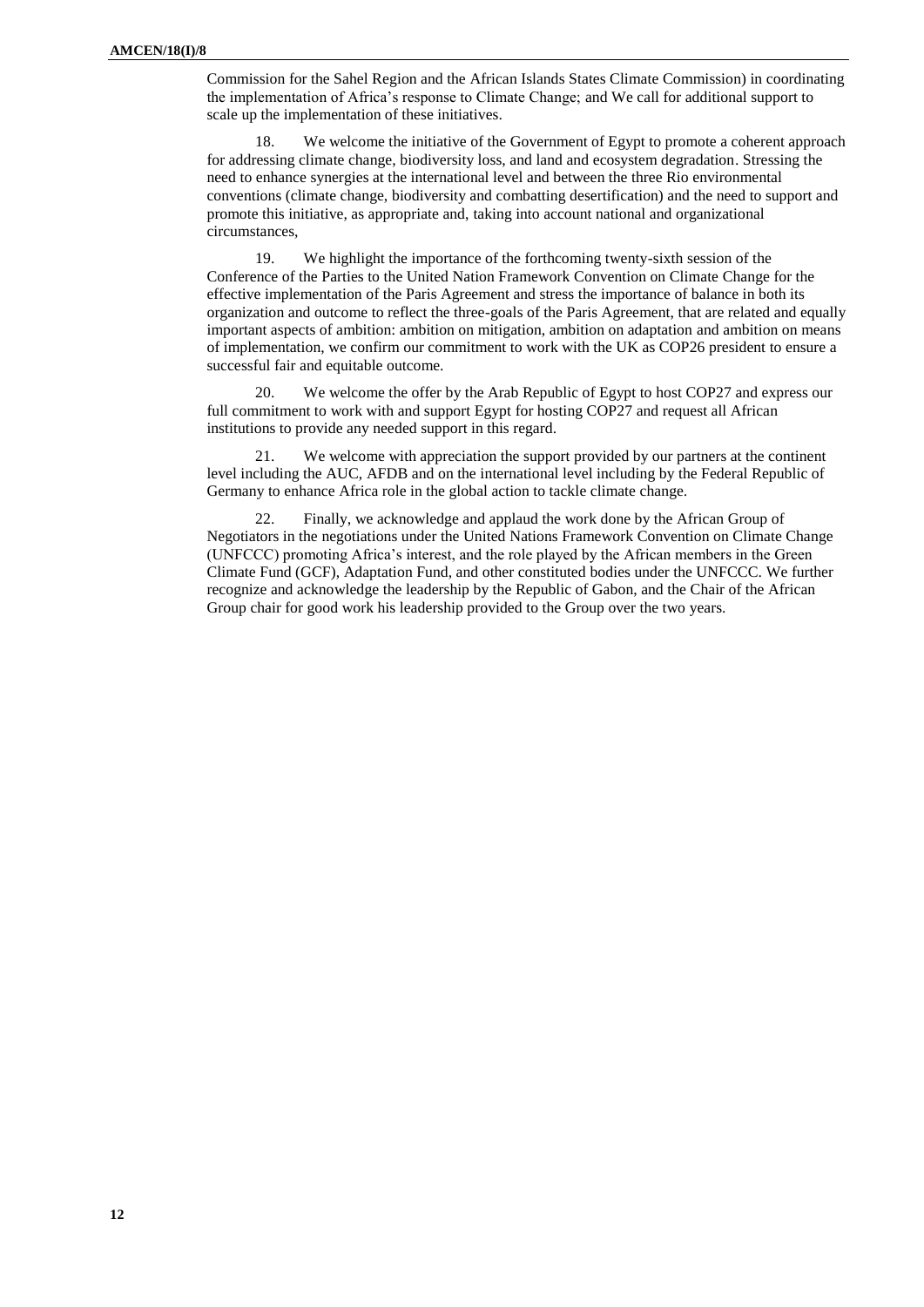Commission for the Sahel Region and the African Islands States Climate Commission) in coordinating the implementation of Africa's response to Climate Change; and We call for additional support to scale up the implementation of these initiatives.

18. We welcome the initiative of the Government of Egypt to promote a coherent approach for addressing climate change, biodiversity loss, and land and ecosystem degradation. Stressing the need to enhance synergies at the international level and between the three Rio environmental conventions (climate change, biodiversity and combatting desertification) and the need to support and promote this initiative, as appropriate and, taking into account national and organizational circumstances,

19. We highlight the importance of the forthcoming twenty-sixth session of the Conference of the Parties to the United Nation Framework Convention on Climate Change for the effective implementation of the Paris Agreement and stress the importance of balance in both its organization and outcome to reflect the three-goals of the Paris Agreement, that are related and equally important aspects of ambition: ambition on mitigation, ambition on adaptation and ambition on means of implementation, we confirm our commitment to work with the UK as COP26 president to ensure a successful fair and equitable outcome.

20. We welcome the offer by the Arab Republic of Egypt to host COP27 and express our full commitment to work with and support Egypt for hosting COP27 and request all African institutions to provide any needed support in this regard.

21. We welcome with appreciation the support provided by our partners at the continent level including the AUC, AFDB and on the international level including by the Federal Republic of Germany to enhance Africa role in the global action to tackle climate change.

Finally, we acknowledge and applaud the work done by the African Group of Negotiators in the negotiations under the United Nations Framework Convention on Climate Change (UNFCCC) promoting Africa's interest, and the role played by the African members in the Green Climate Fund (GCF), Adaptation Fund, and other constituted bodies under the UNFCCC. We further recognize and acknowledge the leadership by the Republic of Gabon, and the Chair of the African Group chair for good work his leadership provided to the Group over the two years.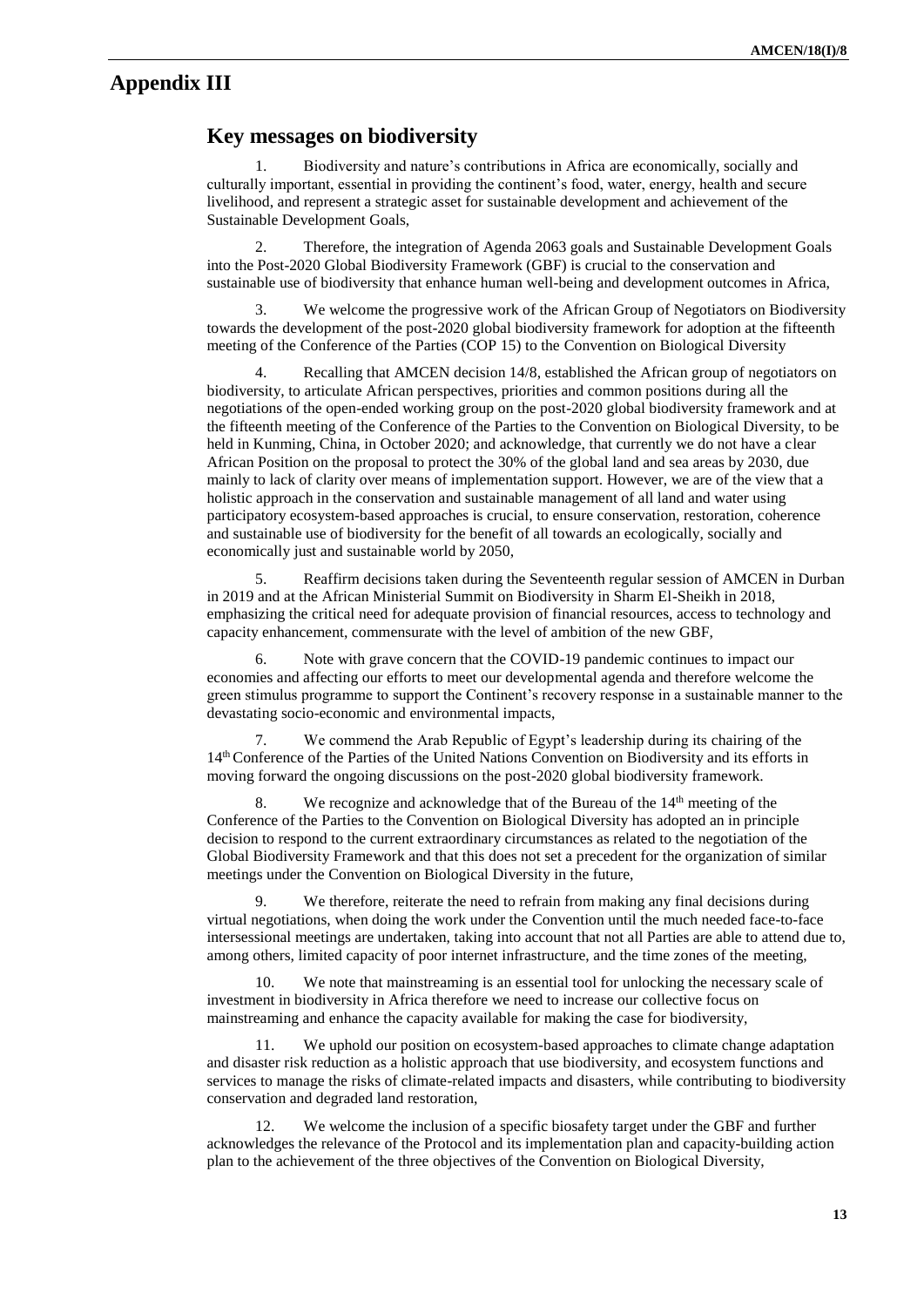## **Appendix III**

## **Key messages on biodiversity**

1. Biodiversity and nature's contributions in Africa are economically, socially and culturally important, essential in providing the continent's food, water, energy, health and secure livelihood, and represent a strategic asset for sustainable development and achievement of the Sustainable Development Goals,

2. Therefore, the integration of Agenda 2063 goals and Sustainable Development Goals into the Post-2020 Global Biodiversity Framework (GBF) is crucial to the conservation and sustainable use of biodiversity that enhance human well-being and development outcomes in Africa,

We welcome the progressive work of the African Group of Negotiators on Biodiversity towards the development of the post-2020 global biodiversity framework for adoption at the fifteenth meeting of the Conference of the Parties (COP 15) to the Convention on Biological Diversity

Recalling that AMCEN decision 14/8, established the African group of negotiators on biodiversity, to articulate African perspectives, priorities and common positions during all the negotiations of the open-ended working group on the post-2020 global biodiversity framework and at the fifteenth meeting of the Conference of the Parties to the Convention on Biological Diversity, to be held in Kunming, China, in October 2020; and acknowledge, that currently we do not have a clear African Position on the proposal to protect the 30% of the global land and sea areas by 2030, due mainly to lack of clarity over means of implementation support. However, we are of the view that a holistic approach in the conservation and sustainable management of all land and water using participatory ecosystem-based approaches is crucial, to ensure conservation, restoration, coherence and sustainable use of biodiversity for the benefit of all towards an ecologically, socially and economically just and sustainable world by 2050,

5. Reaffirm decisions taken during the Seventeenth regular session of AMCEN in Durban in 2019 and at the African Ministerial Summit on Biodiversity in Sharm El-Sheikh in 2018, emphasizing the critical need for adequate provision of financial resources, access to technology and capacity enhancement, commensurate with the level of ambition of the new GBF,

6. Note with grave concern that the COVID-19 pandemic continues to impact our economies and affecting our efforts to meet our developmental agenda and therefore welcome the green stimulus programme to support the Continent's recovery response in a sustainable manner to the devastating socio-economic and environmental impacts,

7. We commend the Arab Republic of Egypt's leadership during its chairing of the 14th Conference of the Parties of the United Nations Convention on Biodiversity and its efforts in moving forward the ongoing discussions on the post-2020 global biodiversity framework.

8. We recognize and acknowledge that of the Bureau of the  $14<sup>th</sup>$  meeting of the Conference of the Parties to the Convention on Biological Diversity has adopted an in principle decision to respond to the current extraordinary circumstances as related to the negotiation of the Global Biodiversity Framework and that this does not set a precedent for the organization of similar meetings under the Convention on Biological Diversity in the future,

We therefore, reiterate the need to refrain from making any final decisions during virtual negotiations, when doing the work under the Convention until the much needed face-to-face intersessional meetings are undertaken, taking into account that not all Parties are able to attend due to, among others, limited capacity of poor internet infrastructure, and the time zones of the meeting,

10. We note that mainstreaming is an essential tool for unlocking the necessary scale of investment in biodiversity in Africa therefore we need to increase our collective focus on mainstreaming and enhance the capacity available for making the case for biodiversity,

11. We uphold our position on ecosystem-based approaches to climate change adaptation and disaster risk reduction as a holistic approach that use biodiversity, and ecosystem functions and services to manage the risks of climate-related impacts and disasters, while contributing to biodiversity conservation and degraded land restoration,

12. We welcome the inclusion of a specific biosafety target under the GBF and further acknowledges the relevance of the Protocol and its implementation plan and capacity-building action plan to the achievement of the three objectives of the Convention on Biological Diversity,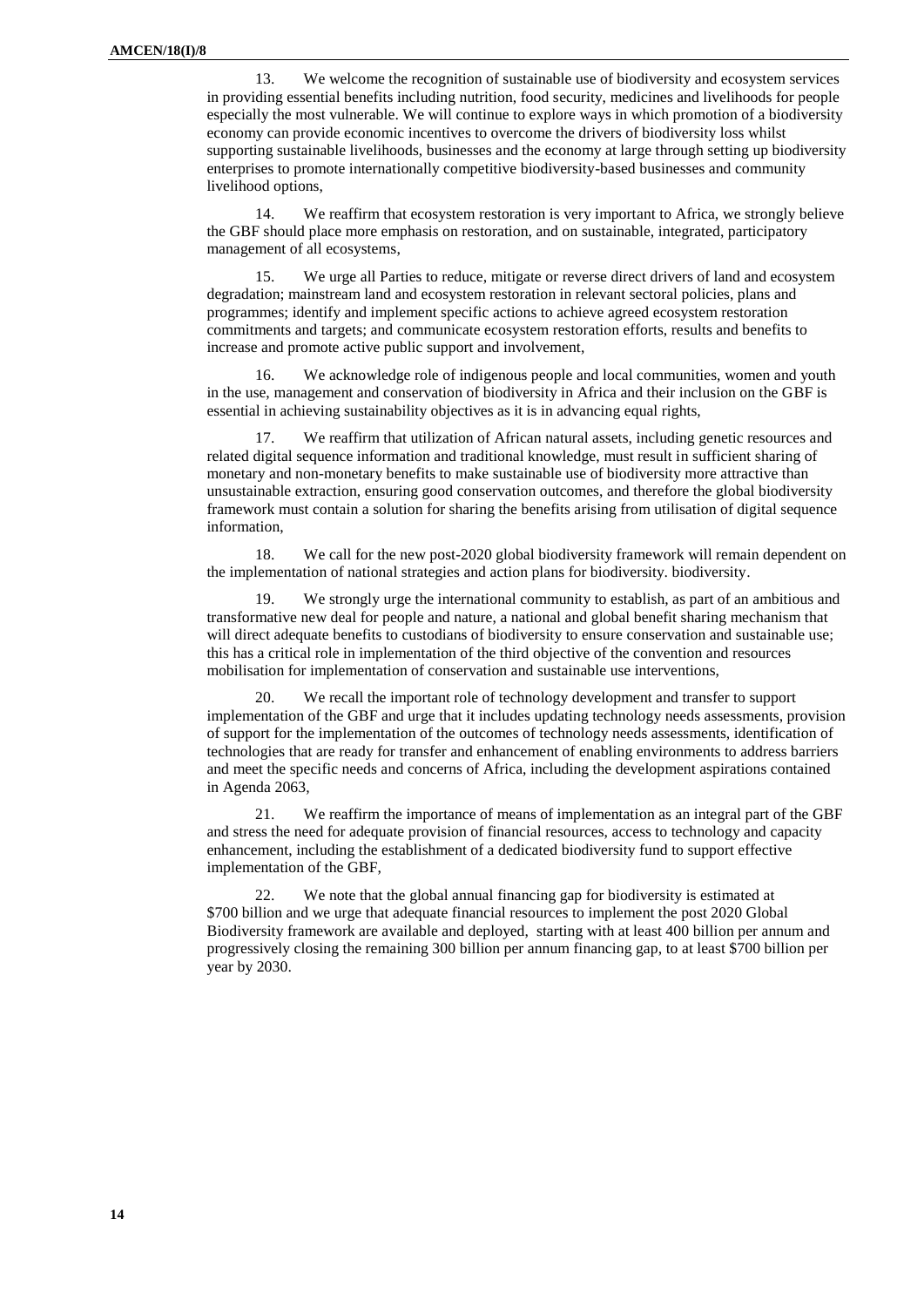13. We welcome the recognition of sustainable use of biodiversity and ecosystem services in providing essential benefits including nutrition, food security, medicines and livelihoods for people especially the most vulnerable. We will continue to explore ways in which promotion of a biodiversity economy can provide economic incentives to overcome the drivers of biodiversity loss whilst supporting sustainable livelihoods, businesses and the economy at large through setting up biodiversity enterprises to promote internationally competitive biodiversity-based businesses and community livelihood options,

14. We reaffirm that ecosystem restoration is very important to Africa, we strongly believe the GBF should place more emphasis on restoration, and on sustainable, integrated, participatory management of all ecosystems,

15. We urge all Parties to reduce, mitigate or reverse direct drivers of land and ecosystem degradation; mainstream land and ecosystem restoration in relevant sectoral policies, plans and programmes; identify and implement specific actions to achieve agreed ecosystem restoration commitments and targets; and communicate ecosystem restoration efforts, results and benefits to increase and promote active public support and involvement,

16. We acknowledge role of indigenous people and local communities, women and youth in the use, management and conservation of biodiversity in Africa and their inclusion on the GBF is essential in achieving sustainability objectives as it is in advancing equal rights,

17. We reaffirm that utilization of African natural assets, including genetic resources and related digital sequence information and traditional knowledge, must result in sufficient sharing of monetary and non-monetary benefits to make sustainable use of biodiversity more attractive than unsustainable extraction, ensuring good conservation outcomes, and therefore the global biodiversity framework must contain a solution for sharing the benefits arising from utilisation of digital sequence information,

18. We call for the new post-2020 global biodiversity framework will remain dependent on the implementation of national strategies and action plans for biodiversity. biodiversity.

19. We strongly urge the international community to establish, as part of an ambitious and transformative new deal for people and nature, a national and global benefit sharing mechanism that will direct adequate benefits to custodians of biodiversity to ensure conservation and sustainable use; this has a critical role in implementation of the third objective of the convention and resources mobilisation for implementation of conservation and sustainable use interventions,

20. We recall the important role of technology development and transfer to support implementation of the GBF and urge that it includes updating technology needs assessments, provision of support for the implementation of the outcomes of technology needs assessments, identification of technologies that are ready for transfer and enhancement of enabling environments to address barriers and meet the specific needs and concerns of Africa, including the development aspirations contained in Agenda 2063,

21. We reaffirm the importance of means of implementation as an integral part of the GBF and stress the need for adequate provision of financial resources, access to technology and capacity enhancement, including the establishment of a dedicated biodiversity fund to support effective implementation of the GBF,

22. We note that the global annual financing gap for biodiversity is estimated at \$700 billion and we urge that adequate financial resources to implement the post 2020 Global Biodiversity framework are available and deployed, starting with at least 400 billion per annum and progressively closing the remaining 300 billion per annum financing gap, to at least \$700 billion per year by 2030.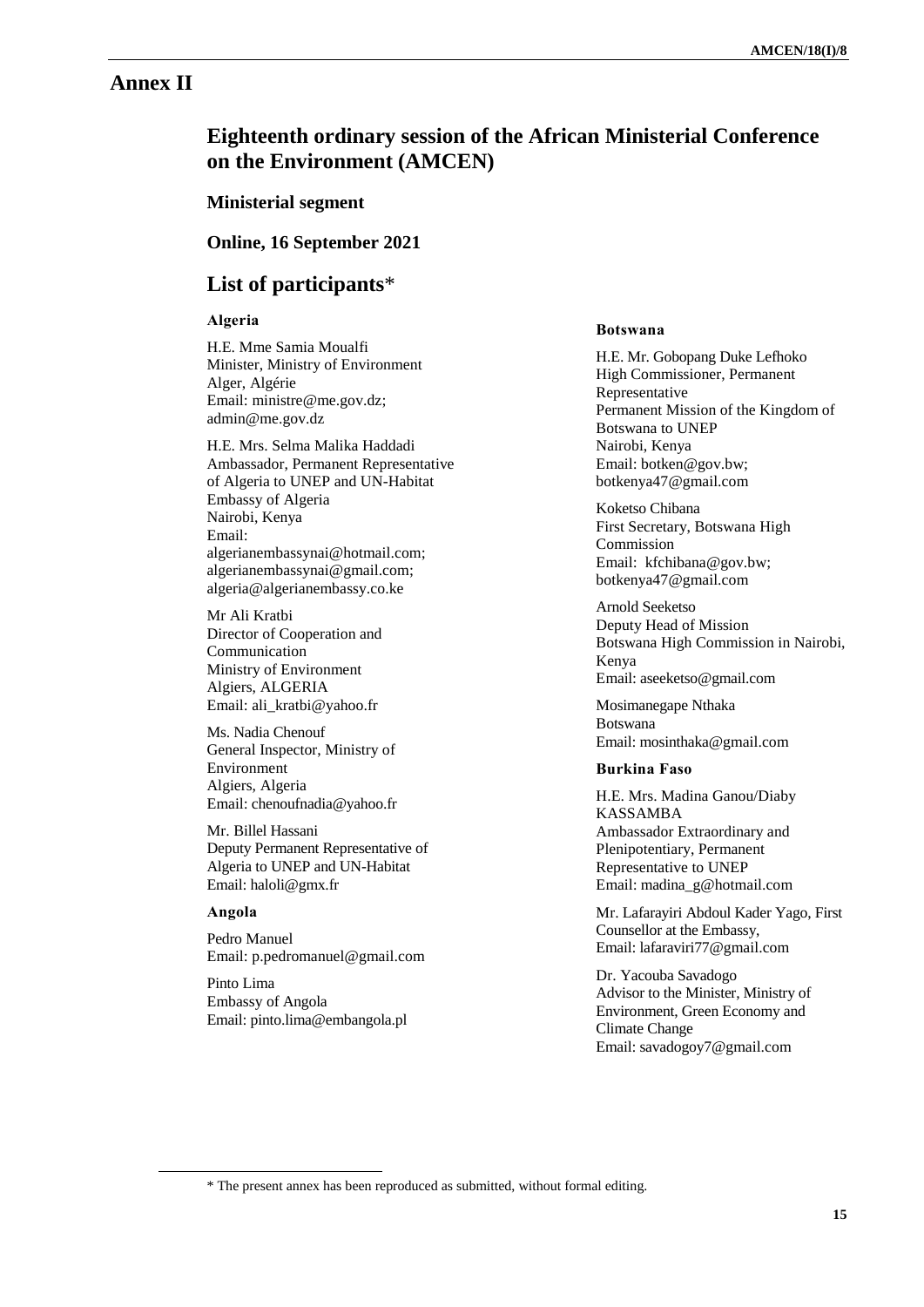## **Annex II**

# **Eighteenth ordinary session of the African Ministerial Conference on the Environment (AMCEN)**

**Ministerial segment**

**Online, 16 September 2021**

## **List of participants**\*

## **Algeria**

H.E. Mme Samia Moualfi Minister, Ministry of Environment Alger, Algérie Email: [ministre@me.gov.dz;](mailto:ministre@me.gov.dz) admin@me.gov.dz

H.E. Mrs. Selma Malika Haddadi Ambassador, Permanent Representative of Algeria to UNEP and UN-Habitat Embassy of Algeria Nairobi, Kenya Email: [algerianembassynai@hotmail.com;](mailto:algerianembassynai@hotmail.com) [algerianembassynai@gmail.com;](mailto:algerianembassynai@gmail.com) [algeria@algerianembassy.co.ke](mailto:algeria@algerianembassy.co.ke)

Mr Ali Kratbi Director of Cooperation and Communication Ministry of Environment Algiers, ALGERIA Email: ali\_kratbi@yahoo.fr

Ms. Nadia Chenouf General Inspector, Ministry of Environment Algiers, Algeria Email: [chenoufnadia@yahoo.fr](mailto:chenoufnadia@yahoo.fr)

Mr. Billel Hassani Deputy Permanent Representative of Algeria to UNEP and UN-Habitat Email[: haloli@gmx.fr](mailto:haloli@gmx.fr)

## **Angola**

 $\overline{a}$ 

Pedro Manuel Email: [p.pedromanuel@gmail.com](mailto:p.pedromanuel@gmail.com)

Pinto Lima Embassy of Angola Email[: pinto.lima@embangola.pl](mailto:pinto.lima@embangola.pl)

#### **Botswana**

H.E. Mr. Gobopang Duke Lefhoko High Commissioner, Permanent Representative Permanent Mission of the Kingdom of Botswana to UNEP Nairobi, Kenya Email: [botken@gov.bw;](mailto:botken@gov.bw) [botkenya47@gmail.com](mailto:botkenya47@gmail.com)

Koketso Chibana First Secretary, Botswana High Commission Email: [kfchibana@gov.bw;](mailto:kfchibana@gov.bw) [botkenya47@gmail.com](mailto:botkenya47@gmail.com)

Arnold Seeketso Deputy Head of Mission Botswana High Commission in Nairobi, Kenya Email: aseeketso@gmail.com

Mosimanegape Nthaka Botswana Email: mosinthaka@gmail.com

## **Burkina Faso**

H.E. Mrs. Madina Ganou/Diaby KASSAMBA Ambassador Extraordinary and Plenipotentiary, Permanent Representative to UNEP Email: madina\_g@hotmail.com

Mr. Lafarayiri Abdoul Kader Yago, First Counsellor at the Embassy, Email: lafaraviri77@gmail.com

Dr. Yacouba Savadogo Advisor to the Minister, Ministry of Environment, Green Economy and Climate Change Email: savadogoy7@gmail.com

<sup>\*</sup> The present annex has been reproduced as submitted, without formal editing.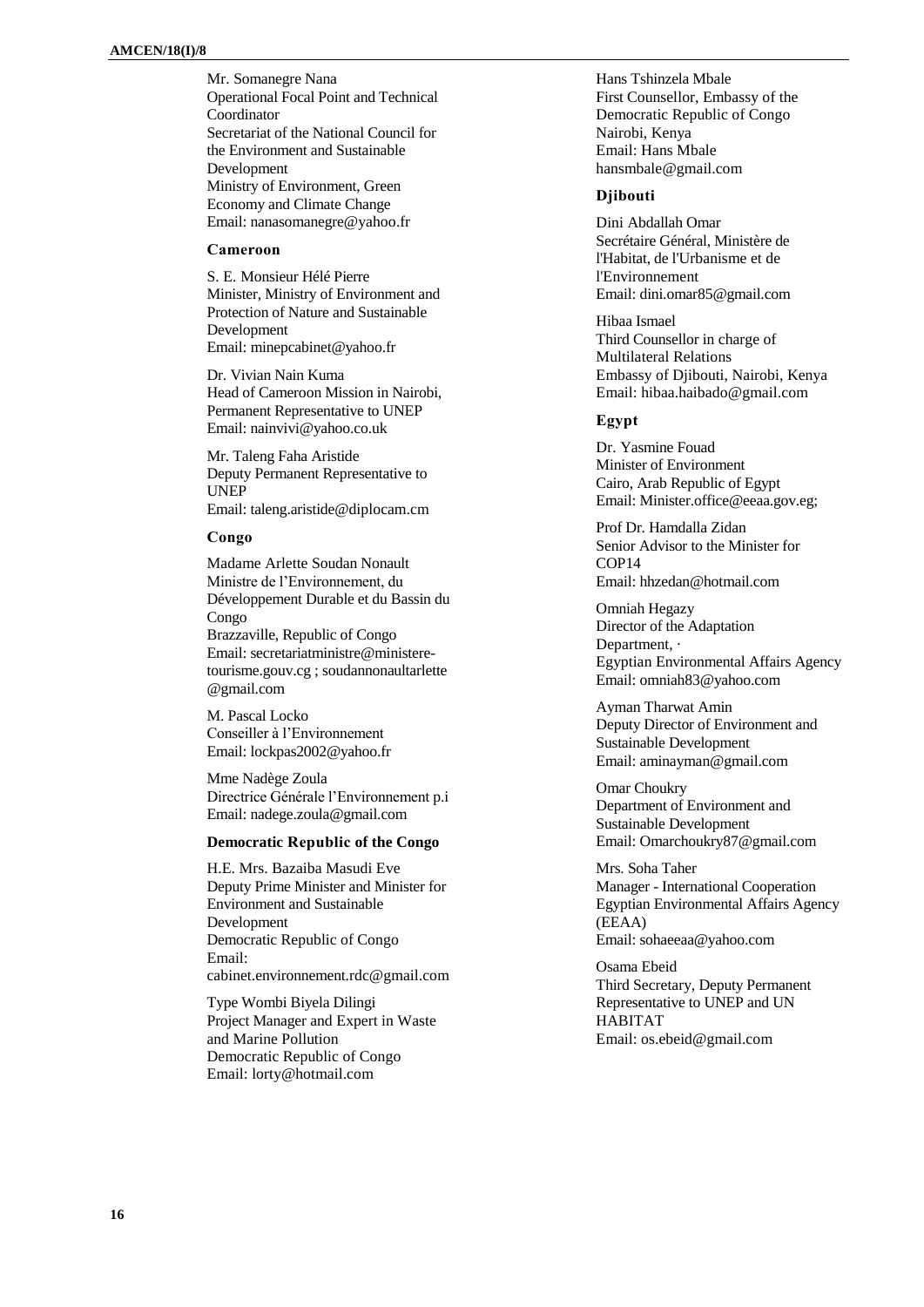Mr. Somanegre Nana Operational Focal Point and Technical Coordinator Secretariat of the National Council for the Environment and Sustainable Development Ministry of Environment, Green Economy and Climate Change Email: nanasomanegre@yahoo.fr

#### **Cameroon**

S. E. Monsieur Hélé Pierre Minister, Ministry of Environment and Protection of Nature and Sustainable Development Email[: minepcabinet@yahoo.fr](mailto:minepcabinet@yahoo.fr)

Dr. Vivian Nain Kuma Head of Cameroon Mission in Nairobi, Permanent Representative to UNEP Email: nainvivi@yahoo.co.uk

Mr. Taleng Faha Aristide Deputy Permanent Representative to UNEP Email: taleng.aristide@diplocam.cm

#### **Congo**

Madame Arlette Soudan Nonault Ministre de l'Environnement, du Développement Durable et du Bassin du Congo Brazzaville, Republic of Congo Email[: secretariatministre@ministere](mailto:secretariatministre@ministere-tourisme.gouv.cg)[tourisme.gouv.cg](mailto:secretariatministre@ministere-tourisme.gouv.cg) ; [soudannonaultarlette](mailto:soudannonaultarlette@gmail.com) [@gmail.com](mailto:soudannonaultarlette@gmail.com)

M. Pascal Locko Conseiller à l'Environnement Email[: lockpas2002@yahoo.fr](mailto:lockpas2002@yahoo.fr)

Mme Nadège Zoula Directrice Générale l'Environnement p.i Email[: nadege.zoula@gmail.com](mailto:nadege.zoula@gmail.com)

## **Democratic Republic of the Congo**

H.E. Mrs. Bazaiba Masudi Eve Deputy Prime Minister and Minister for Environment and Sustainable Development Democratic Republic of Congo Email: [cabinet.environnement.rdc@gmail.com](mailto:cabinet.environnement.rdc@gmail.com)

Type Wombi Biyela Dilingi Project Manager and Expert in Waste and Marine Pollution Democratic Republic of Congo Email: [lorty@hotmail.com](mailto:lorty@hotmail.com)

Hans Tshinzela Mbale First Counsellor, Embassy of the Democratic Republic of Congo Nairobi, Kenya Email: Hans Mbale [hansmbale@gmail.com](mailto:hansmbale@gmail.com)

#### **Djibouti**

Dini Abdallah Omar Secrétaire Général, Ministère de l'Habitat, de l'Urbanisme et de l'Environnement Email: dini.omar85@gmail.com

Hibaa Ismael Third Counsellor in charge of Multilateral Relations Embassy of Djibouti, Nairobi, Kenya Email: hibaa.haibado@gmail.com

### **Egypt**

Dr. Yasmine Fouad Minister of Environment Cairo, Arab Republic of Egypt Email: [Minister.office@eeaa.gov.eg;](mailto:Minister.office@eeaa.gov.eg)

Prof Dr. Hamdalla Zidan Senior Advisor to the Minister for COP14 Email: hhzedan@hotmail.com

Omniah Hegazy Director of the Adaptation Department,  $\cdot$ Egyptian Environmental Affairs Agency Email: [omniah83@yahoo.com](mailto:omniah83@yahoo.com)

Ayman Tharwat Amin Deputy Director of Environment and Sustainable Development Email: aminayman@gmail.com

Omar Choukry Department of Environment and Sustainable Development Email: Omarchoukry87@gmail.com

Mrs. Soha Taher Manager - International Cooperation Egyptian Environmental Affairs Agency (EEAA) Email: sohaeeaa@yahoo.com

Osama Ebeid Third Secretary, Deputy Permanent Representative to UNEP and UN HABITAT Email: [os.ebeid@gmail.com](mailto:os.ebeid@gmail.com)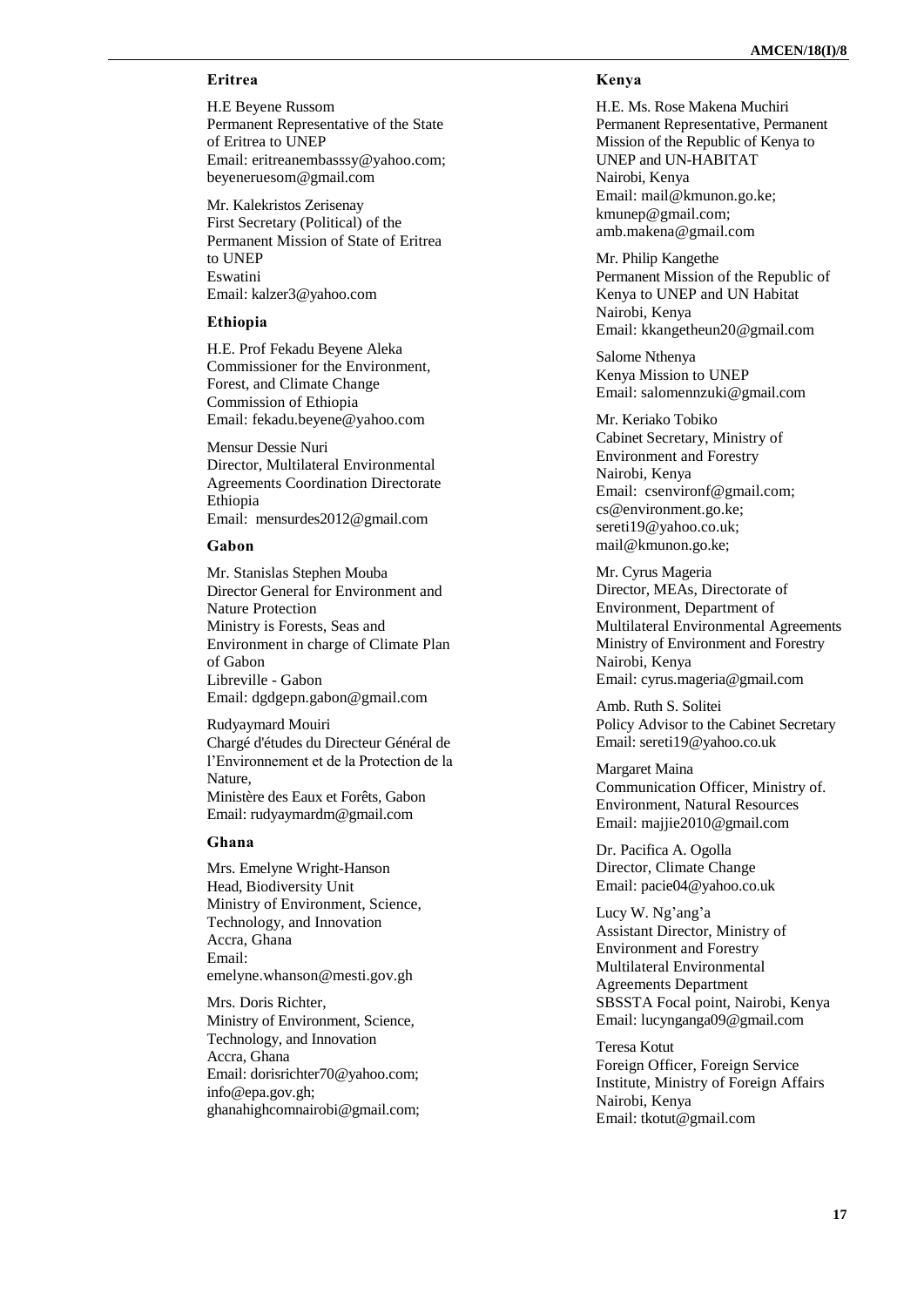## **Eritrea**

H.E Beyene Russom Permanent Representative of the State of Eritrea to UNEP Email: [eritreanembasssy@yahoo.com;](mailto:eritreanembasssy@yahoo.com) beyeneruesom@gmail.com

Mr. Kalekristos Zerisenay First Secretary (Political) of the Permanent Mission of State of Eritrea to UNEP Eswatini Email: kalzer3@yahoo.com

### **Ethiopia**

H.E. Prof Fekadu Beyene Aleka Commissioner for the Environment, Forest, and Climate Change Commission of Ethiopia Email: [fekadu.beyene@yahoo.com](mailto:fekadu.beyene@yahoo.com)

Mensur Dessie Nuri Director, Multilateral Environmental Agreements Coordination Directorate Ethiopia Email: [mensurdes2012@gmail.com](mailto:mensurdes2012@gmail.com)

#### **Gabon**

Mr. Stanislas Stephen Mouba Director General for Environment and Nature Protection Ministry is Forests, Seas and Environment in charge of Climate Plan of Gabon Libreville - Gabon Email: [dgdgepn.gabon@gmail.com](mailto:dgdgepn.gabon@gmail.com)

Rudyaymard Mouiri Chargé d'études du Directeur Général de l'Environnement et de la Protection de la Nature, Ministère des Eaux et Forêts, Gabon Email[: rudyaymardm@gmail.com](mailto:rudyaymardm@gmail.com)

## **Ghana**

Mrs. Emelyne Wright -Hanson Head, Biodiversity Unit Ministry of Environment, Science, Technology, and Innovation Accra, Ghana Email: emelyne.whanson@mesti.gov.gh

Mrs. Doris Richter, Ministry of Environment, Science, Technology, and Innovation Accra, Ghana Email[: dorisrichter70@yahoo.com;](mailto:dorisrichter70@yahoo.com) [info@epa.gov.gh;](mailto:info@epa.gov.gh) [ghanahighcomnairobi@gmail.com;](mailto:ghanahighcomnairobi@gmail.com)

## **Kenya**

H.E. Ms. Rose Makena Muchiri Permanent Representative, Permanent Mission of the Republic of Kenya to UNEP and UN -HABITAT Nairobi, Kenya Email: [mail@kmunon.go.ke;](mailto:mail@kmunon.go.ke) [kmunep@gmail.com;](mailto:kmunep@gmail.com) [amb.makena@gmail.com](mailto:amb.makena@gmail.com)

Mr. Philip Kangethe Permanent Mission of the Republic of Kenya to UNEP and UN Habitat Nairobi, Kenya Email: kkangetheun20@gmail.com

Salome Nthenya Kenya Mission to UNEP Email: salomennzuki@gmail.com

Mr. Keriako Tobiko Cabinet Secretary, Ministry of Environment and Forestry Nairobi, Kenya Email: [csenvironf@gmail.com;](mailto:csenvironf@gmail.com) [cs@environment.go.ke;](mailto:cs@environment.go.ke) [sereti19@yahoo.co.uk;](mailto:sereti19@yahoo.co.uk) mail@kmunon.go.ke; Mr. Cyrus Mageria

Director, MEAs, Directorate of Environment, Department of Multilateral Environmental Agreements Ministry of Environment and Forestry Nairobi, Kenya Email: cyrus.mageria@gmail.com

Amb. Ruth S. Solitei Policy Advisor to the Cabinet Secretary Email: [sereti19@yahoo.co.uk](mailto:sereti19@yahoo.co.uk)

Margaret Maina Communication Officer, Ministry of. Environment, Natural Resources Email: majjie2010@gmail.com

Dr. Pacifica A. Ogolla Director, Climate Change Email: [pacie04@yahoo.co.uk](mailto:pacie04@yahoo.co.uk)

Lucy W. Ng'ang'a Assistant Director, Ministry of Environment and Forestry Multilateral Environmental Agreements Department SBSSTA Focal point, Nairobi, Kenya Email: lucynganga09@gmail.com

Teresa Kotut Foreign Officer, Foreign Service Institute, Ministry of Foreign Affairs Nairobi, Kenya Email: tkotut@gmail.com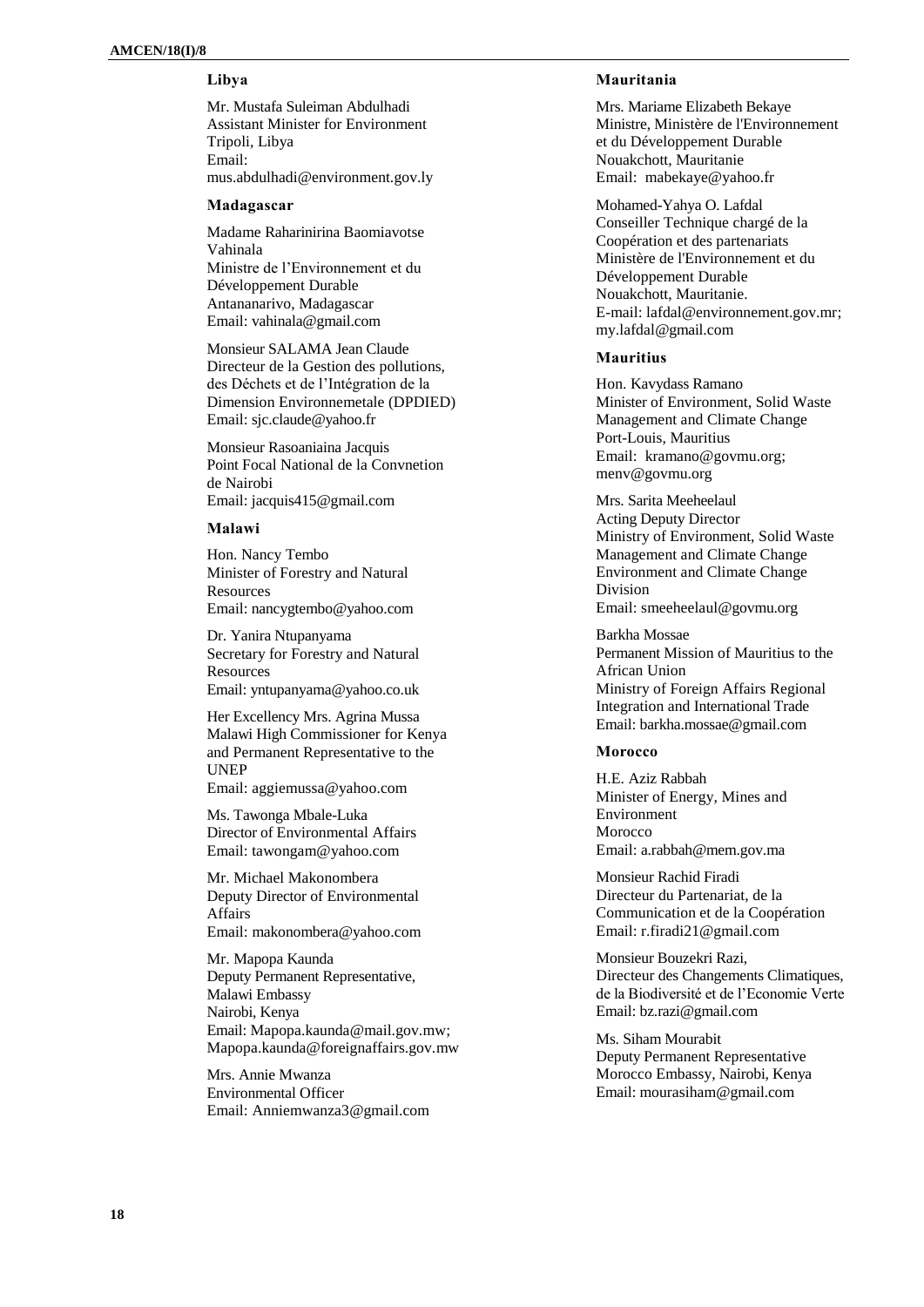## **Libya**

Mr. Mustafa Suleiman Abdulhadi Assistant Minister for Environment Tripoli, Libya Email: [mus.abdulhadi@environment.gov.ly](mailto:mus.abdulhadi@environment.gov.ly)

#### **Madagascar**

Madame Raharinirina Baomiavotse Vahinala Ministre de l'Environnement et du Développement Durable Antananarivo, Madagascar Email: vahinala@gmail.com

Monsieur SALAMA Jean Claude Directeur de la Gestion des pollutions, des Déchets et de l'Intégration de la Dimension Environnemetale (DPDIED) Email: [sjc.claude@yahoo.fr](mailto:sjc.claude@yahoo.fr)

Monsieur Rasoaniaina Jacquis Point Focal National de la Convnetion de Nairobi Email: jacquis415@gmail.com

#### **Malawi**

Hon. Nancy Tembo Minister of Forestry and Natural **Resources** Email: [nancygtembo@yahoo.com](mailto:nancygtembo@yahoo.com)

Dr. Yanira Ntupanyama Secretary for Forestry and Natural **Resources** Email[: yntupanyama@yahoo.co.uk](mailto:yntupanyama@yahoo.co.uk)

Her Excellency Mrs. Agrina Mussa Malawi High Commissioner for Kenya and Permanent Representative to the UNEP Email: [aggiemussa@yahoo.com](mailto:aggiemussa@yahoo.com)

Ms. Tawonga Mbale-Luka Director of Environmental Affairs Email: [tawongam@yahoo.com](mailto:tawongam@yahoo.com)

Mr. Michael Makonombera Deputy Director of Environmental Affairs Email: [makonombera@yahoo.com](mailto:makonombera@yahoo.com)

Mr. Mapopa Kaunda Deputy Permanent Representative, Malawi Embassy Nairobi, Kenya Email[: Mapopa.kaunda@mail.gov.mw;](mailto:Mapopa.kaunda@mail.gov.mw) Mapopa.kaunda@foreignaffairs.gov.mw

Mrs. Annie Mwanza Environmental Officer Email: [Anniemwanza3@gmail.com](mailto:Anniemwanza3@gmail.com)

## **Mauritania**

Mrs. Mariame Elizabeth Bekaye Ministre, Ministère de l'Environnement et du Développement Durable Nouakchott, Mauritanie Email: [mabekaye@yahoo.fr](mailto:mabekaye@yahoo.fr)

Mohamed-Yahya O. Lafdal Conseiller Technique chargé de la Coopération et des partenariats Ministère de l'Environnement et du Développement Durable Nouakchott, Mauritanie. E-mail[: lafdal@environnement.gov.mr;](mailto:lafdal@environnement.gov.mr) my.lafdal@gmail.com

### **Mauritius**

Hon. Kavydass Ramano Minister of Environment, Solid Waste Management and Climate Change Port-Louis, Mauritius Email: [kramano@govmu.org;](mailto:kramano@govmu.org) [menv@govmu.org](mailto:menv@govmu.org)

Mrs. Sarita Meeheelaul Acting Deputy Director Ministry of Environment, Solid Waste Management and Climate Change Environment and Climate Change Division Email: smeeheelaul@govmu.org

Barkha Mossae Permanent Mission of Mauritius to the African Union Ministry of Foreign Affairs Regional Integration and International Trade Email: [barkha.mossae@gmail.com](mailto:barkha.mossae@gmail.com)

#### **Morocco**

H.E. Aziz Rabbah Minister of Energy, Mines and Environment Morocco Email: [a.rabbah@mem.gov.ma](mailto:a.rabbah@mem.gov.ma)

Monsieur Rachid Firadi Directeur du Partenariat, de la Communication et de la Coopération Email: [r.firadi21@gmail.com](mailto:r.firadi21@gmail.com)

Monsieur Bouzekri Razi, Directeur des Changements Climatiques, de la Biodiversité et de l'Economie Verte Email: bz.razi@gmail.com

Ms. Siham Mourabit Deputy Permanent Representative Morocco Embassy, Nairobi, Kenya Email: mourasiham@gmail.com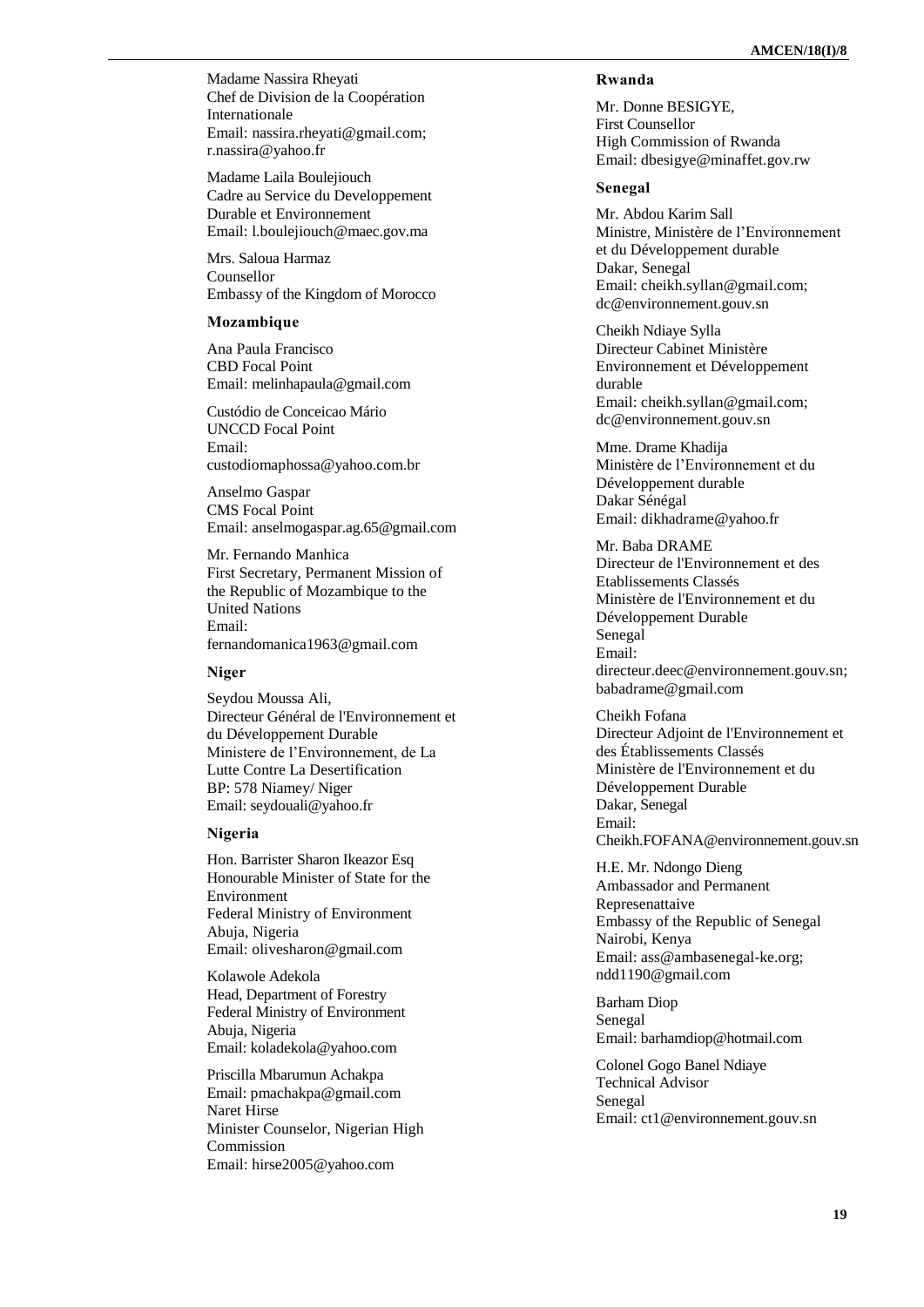Madame Nassira Rheyati Chef de Division de la Coopération Internationale Email: [nassira.rheyati@gmail.com;](mailto:nassira.rheyati@gmail.com) [r.nassira@yahoo.fr](mailto:r.nassira@yahoo.fr)

Madame Laila Boulejiouch Cadre au Service du Developpement Durable et Environnement Email: l.boulejiouch@maec.gov.ma

Mrs. Saloua Harmaz Counsellor Embassy of the Kingdom of Morocco

#### **Mozambique**

Ana Paula Francisco CBD Focal Point Email: melinhapaula@gmail.com

Custódio de Conceicao Mário UNCCD Focal Point Email: custodiomaphossa@yahoo.com.br

Anselmo Gaspar CMS Focal Point Email: anselmogaspar.ag.65@gmail.com

Mr. Fernando Manhica First Secretary, Permanent Mission of the Republic of Mozambique to the United Nations Email: [fernandomanica1963@gmail.com](mailto:fernandomanica1963@gmail.com)

#### **Niger**

Seydou Moussa Ali, Directeur Général de l'Environnement et du Développement Durable Ministere de l'Environnement, de La Lutte Contre La Desertification BP: 578 Niamey/ Niger Email[: seydouali@yahoo.fr](mailto:seydouali@yahoo.fr)

#### **Nigeria**

Hon. Barrister Sharon Ikeazor Esq Honourable Minister of State for the Environment Federal Ministry of Environment Abuja, Nigeria Email: olivesharon@gmail.com

Kolawole Adekola Head, Department of Forestry Federal Ministry of Environment Abuja, Nigeria Email[: koladekola@yahoo.com](mailto:koladekola@yahoo.com)

Priscilla Mbarumun Achakpa Email: pmachakpa@gmail.com Naret Hirse Minister Counselor, Nigerian High Commission Email: hirse2005@yahoo.com

## **Rwanda**

Mr. Donne BESIGYE, First Counsellor High Commission of Rwanda Email: [dbesigye@minaffet.gov.rw](mailto:dbesigye@minaffet.gov.rw)

### **Senegal**

Mr. Abdou Karim Sall Ministre, Ministère de l'Environnement et du Développement durable Dakar, Senegal Email: cheikh.syllan@gmail.com; dc@environnement.gouv.sn

Cheikh Ndiaye Sylla Directeur Cabinet Ministère Environnement et Développement durable Email: [cheikh.syllan@gmail.com;](mailto:cheikh.syllan@gmail.com) [dc@environnement.gouv.sn](mailto:dc@environnement.gouv.sn)

Mme. Drame Khadija Ministère de l'Environnement et du Développement durable Dakar Sénégal Email: dikhadrame@yahoo.fr

Mr. Baba DRAME Directeur de l'Environnement et des Etablissements Classés Ministère de l'Environnement et du Développement Durable Senegal Email: [directeur.deec@environnement.gouv.sn;](mailto:directeur.deec@environnement.gouv.sn) babadrame@gmail.com

Cheikh Fofana Directeur Adjoint de l'Environnement et des Établissements Classés Ministère de l'Environnement et du Développement Durable Dakar, Senegal Email: [Cheikh.FOFANA@environnement.gouv.sn](mailto:Cheikh.FOFANA@environnement.gouv.sn)

H.E. Mr. Ndongo Dieng Ambassador and Permanent Represenattaive Embassy of the Republic of Senegal Nairobi, Kenya Email: [ass@ambasenegal](mailto:ass@ambasenegal-ke.org) -ke.org; [ndd1190@gmail.com](mailto:ndd1190@gmail.com)

Barham Diop Senegal Email: [barhamdiop@hotmail.com](mailto:barhamdiop@hotmail.com)

Colonel Gogo Banel Ndiaye Technical Advisor Senegal Email: ct1@environnement.gouv.sn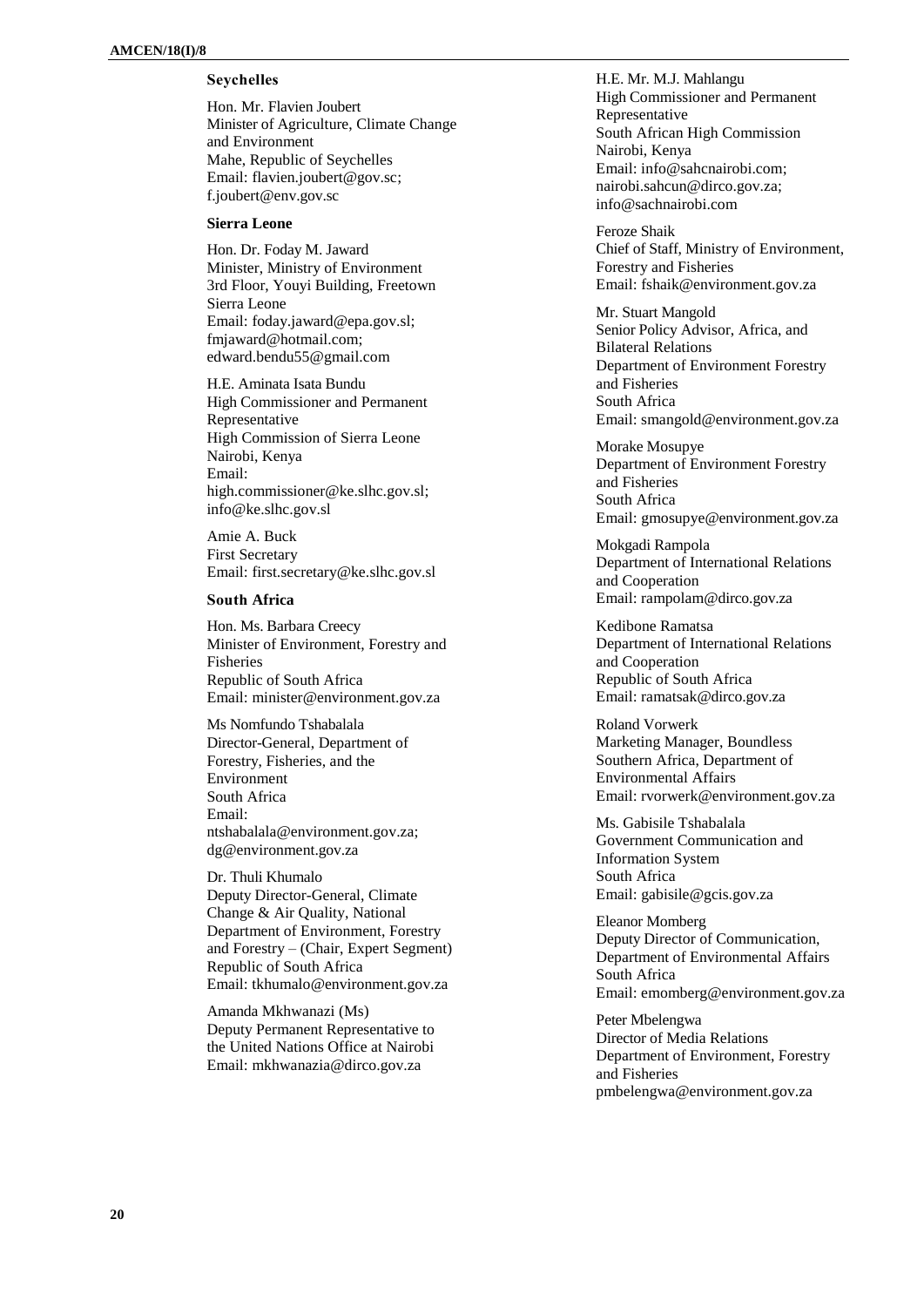## **Seychelles**

Hon. Mr. Flavien Joubert Minister of Agriculture, Climate Change and Environment Mahe, Republic of Seychelles Email: [flavien.joubert@gov.sc;](mailto:flavien.joubert@gov.sc) f.joubert@env.gov.sc

## **Sierra Leone**

Hon. Dr. Foday M. Jaward Minister, Ministry of Environment 3rd Floor, Youyi Building, Freetown Sierra Leone Email: [foday.jaward@epa.gov.sl;](mailto:foday.jaward@epa.gov.sl) [fmjaward@hotmail.com;](mailto:fmjaward@hotmail.com) [edward.bendu55@gmail.com](mailto:edward.bendu55@gmail.com)

H.E. Aminata Isata Bundu High Commissioner and Permanent Representative High Commission of Sierra Leone Nairobi, Kenya Email: [high.commissioner@ke.slhc.gov.sl;](mailto:high.commissioner@ke.slhc.gov.sl) [info@ke.slhc.gov.sl](mailto:info@ke.slhc.gov.sl)

Amie A. Buck First Secretary Email: [first.secretary@ke.slhc.gov.sl](mailto:first.secretary@ke.slhc.gov.sl)

#### **South Africa**

Hon. Ms. Barbara Creecy Minister of Environment, Forestry and Fisheries Republic of South Africa Email: [minister@environment.gov.za](mailto:minister@environment.gov.za)

Ms Nomfundo Tshabalala Director-General, Department of Forestry, Fisheries, and the Environment South Africa Email: ntshabalala@environment.gov.za; dg@environment.gov.za

Dr. Thuli Khumalo Deputy Director-General, Climate Change & Air Quality, National Department of Environment, Forestry and Forestry – (Chair, Expert Segment) Republic of South Africa Email: [tkhumalo@environment.gov.za](mailto:tkhumalo@environment.gov.za)

Amanda Mkhwanazi (Ms) Deputy Permanent Representative to the United Nations Office at Nairobi Email: [mkhwanazia@dirco.gov.za](mailto:mkhwanazia@dirco.gov.za)

H.E. Mr. M.J. Mahlangu High Commissioner and Permanent Representative South African High Commission Nairobi, Kenya Email: [info@sahcnairobi.com;](mailto:info@sahcnairobi.com) [nairobi.sahcun@dirco.gov.za;](mailto:nairobi.sahcun@dirco.gov.za) [info@sachnairobi.com](mailto:info@sachnairobi.com)

Feroze Shaik Chief of Staff, Ministry of Environment, Forestry and Fisheries Email: [fshaik@environment.gov.za](mailto:fshaik@environment.gov.za)

Mr. Stuart Mangold Senior Policy Advisor, Africa, and Bilateral Relations Department of Environment Forestry and Fisheries South Africa Email: [smangold@environment.gov.za](mailto:smangold@environment.gov.za)

Morake Mosupye Department of Environment Forestry and Fisheries South Africa Email: gmosupye@environment.gov.za

Mokgadi Rampola Department of International Relations and Cooperation Email: rampolam@dirco.gov.za

Kedibone Ramatsa Department of International Relations and Cooperation Republic of South Africa Email: ramatsak@dirco.gov.za

Roland Vorwerk Marketing Manager, Boundless Southern Africa, Department of Environmental Affairs Email: [rvorwerk@environment.gov.za](mailto:rvorwerk@environment.gov.za)

Ms. Gabisile Tshabalala Government Communication and Information System South Africa Email: [gabisile@gcis.gov.za](mailto:gabisile@gcis.gov.za)

Eleanor Momberg Deputy Director of Communication, Department of Environmental Affairs South Africa Email: [emomberg@environment.gov.za](mailto:emomberg@environment.gov.za)

Peter Mbelengwa Director of Media Relations Department of Environment, Forestry and Fisheries [pmbelengwa@environment.gov.za](mailto:pmbelengwa@environment.gov.za)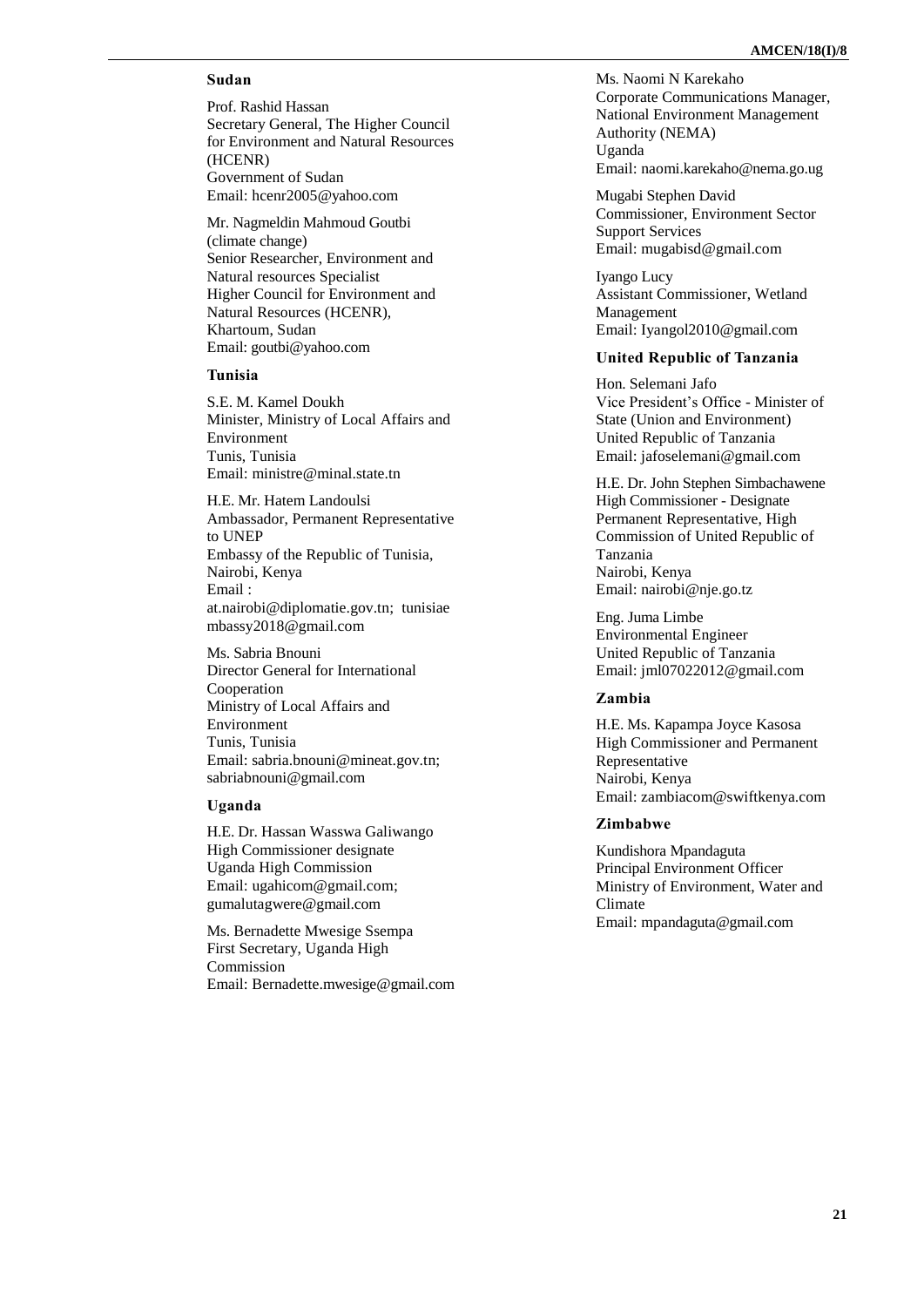## **Sudan**

Prof. Rashid Hassan Secretary General, The Higher Council for Environment and Natural Resources (HCENR) Government of Sudan Email: hcenr2005@yahoo.com

Mr. Nagmeldin Mahmoud Goutbi (climate change) Senior Researcher, Environment and Natural resources Specialist Higher Council for Environment and Natural Resources (HCENR), Khartoum, Sudan Email: goutbi@yahoo.com

### **Tunisia**

S.E. M. Kamel Doukh Minister, Ministry of Local Affairs and Environment Tunis, Tunisia Email: [ministre@minal.state.tn](mailto:ministre@minal.state.tn)

H.E. Mr. Hatem Landoulsi Ambassador, Permanent Representative to UNEP Embassy of the Republic of Tunisia, Nairobi, Kenya Email : [at.nairobi@diplomatie.gov.tn;](http://at.nairobi@diplomatie.gov.tn/tunisiaembassy2018@gmail.com) [tunisiae](http://at.nairobi@diplomatie.gov.tn/tunisiaembassy2018@gmail.com) [mbassy2018@gmail.com](http://at.nairobi@diplomatie.gov.tn/tunisiaembassy2018@gmail.com)

Ms. Sabria Bnouni Director General for International Cooperation Ministry of Local Affairs and Environment Tunis, Tunisia Email: [sabria.bnouni@mineat.gov.tn;](mailto:sabria.bnouni@mineat.gov.tn) sabriabnouni@gmail.com

### **Uganda**

H.E. Dr. Hassan Wasswa Galiwango High Commissioner designate Uganda High Commission Email: [ugahicom@gmail.com;](mailto:ugahicom@gmail.com) gumalutagwere@gmail.com

Ms. Bernadette Mwesige Ssempa First Secretary, Uganda High Commission Email: Bernadette.mwesige@gmail.com

Ms. Naomi N Karekaho Corporate Communications Manager, National Environment Management Authority (NEMA) Uganda Email: naomi.karekaho@nema.go.ug

Mugabi Stephen David Commissioner, Environment Sector Support Services Email: [mugabisd@gmail.com](mailto:mugabisd@gmail.com)

Iyango Lucy Assistant Commissioner, Wetland Management Email: Iyangol2010@gmail.com

#### **United Republic of Tanzania**

Hon. Selemani Jafo Vice President's Office - Minister of State (Union and Environment) United Republic of Tanzania Email: [jafoselemani@gmail.com](mailto:jafoselemani@gmail.com)

H.E. Dr. John Stephen Simbachawene High Commissioner - Designate Permanent Representative, High Commission of United Republic of Tanzania Nairobi, Kenya Email: [nairobi@nje.go.tz](mailto:nairobi@nje.go.tz)

Eng. Juma Limbe Environmental Engineer United Republic of Tanzania Email: [jml07022012@gmail.com](mailto:jml07022012@gmail.com)

#### **Zambia**

H.E. Ms. Kapampa Joyce Kasosa High Commissioner and Permanent Representative Nairobi, Kenya Email: [zambiacom@swiftkenya.com](mailto:zambiacom@swiftkenya.com)

## **Zimbabwe**

Kundishora Mpandaguta Principal Environment Officer Ministry of Environment, Water and Climate Email: mpandaguta@gmail.com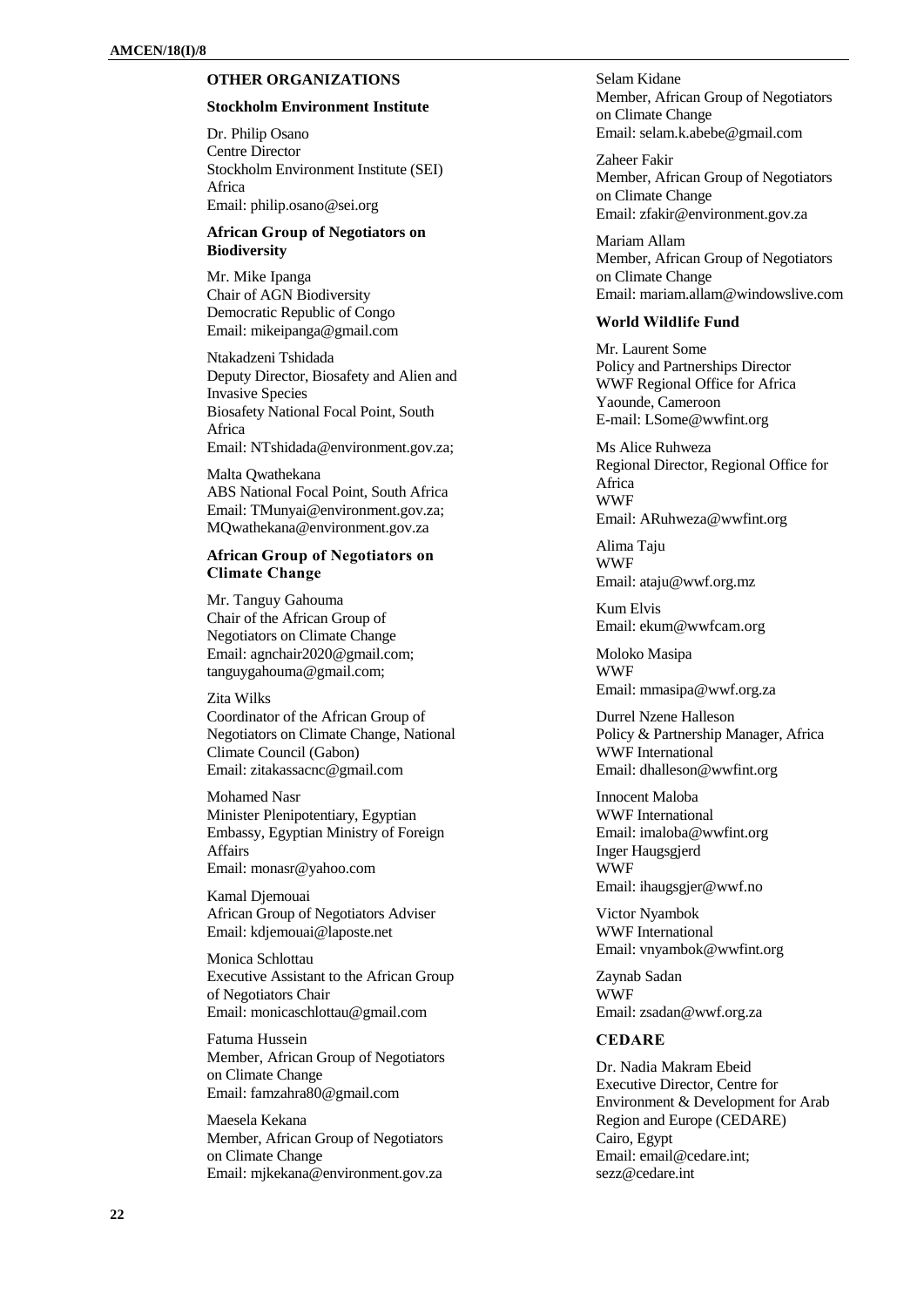## **OTHER ORGANIZATIONS**

#### **Stockholm Environment Institute**

Dr. Philip Osano Centre Director Stockholm Environment Institute (SEI) Africa Email[: philip.osano@sei.org](mailto:philip.osano@sei.org)

## **African Group of Negotiators on Biodiversity**

Mr. Mike Ipanga Chair of AGN Biodiversity Democratic Republic of Congo Email[: mikeipanga@gmail.com](mailto:mikeipanga@gmail.com)

Ntakadzeni Tshidada Deputy Director, Biosafety and Alien and Invasive Species Biosafety National Focal Point, South Africa Email[: NTshidada@environment.gov.za;](mailto:NTshidada@environment.gov.za)

Malta Qwathekana ABS National Focal Point, South Africa Email[: TMunyai@environment.gov.za;](mailto:TMunyai@environment.gov.za) [MQwathekana@environment.gov.za](mailto:MQwathekana@environment.gov.za)

### **African Group of Negotiators on Climate Change**

Mr. Tanguy Gahouma Chair of the African Group of Negotiators on Climate Change Email[: agnchair2020@gmail.com;](mailto:agnchair2020@gmail.com) [tanguygahouma@gmail.com;](mailto:tanguygahouma@gmail.com) 

Zita Wilks Coordinator of the African Group of Negotiators on Climate Change, National Climate Council (Gabon) Email: zitakassacnc@gmail.com

Mohamed Nasr Minister Plenipotentiary, Egyptian Embassy, Egyptian Ministry of Foreign Affairs Email: monasr@yahoo.com

Kamal Djemouai African Group of Negotiators Adviser Email: kdjemouai@laposte.net

Monica Schlottau Executive Assistant to the African Group of Negotiators Chair Email[: monicaschlottau@gmail.com](mailto:monicaschlottau@gmail.com)

Fatuma Hussein Member, African Group of Negotiators on Climate Change Email[: famzahra80@gmail.com](mailto:famzahra80@gmail.com)

Maesela Kekana Member, African Group of Negotiators on Climate Change Email: mjkekana@environment.gov.za

Selam Kidane Member, African Group of Negotiators on Climate Change Email: [selam.k.abebe@gmail.com](mailto:selam.k.abebe@gmail.com)

Zaheer Fakir Member, African Group of Negotiators on Climate Change Email: [zfakir@environment.gov.za](mailto:zfakir@environment.gov.za)

Mariam Allam Member, African Group of Negotiators on Climate Change Email: [mariam.allam@windowslive.com](mailto:mariam.allam@windowslive.com)

#### **World Wildlife Fund**

Mr. Laurent Some Policy and Partnerships Director WWF Regional Office for Africa Yaounde, Cameroon E-mail: [LSome@wwfint.org](mailto:LSome@wwfint.org)

Ms Alice Ruhweza Regional Director, Regional Office for Africa WWF Email: [ARuhweza@wwfint.org](mailto:ARuhweza@wwfint.org)

Alima Taju WWF Email: ataju@wwf.org.mz

Kum Elvis Email: ekum@wwfcam.org

Moloko Masipa WWF Email: [mmasipa@wwf.org.za](mailto:mmasipa@wwf.org.za)

Durrel Nzene Halleson Policy & Partnership Manager, Africa WWF International Email: dhalleson@wwfint.org

Innocent Maloba WWF International Email: [imaloba@wwfint.org](mailto:imaloba@wwfint.org) Inger Haugsgjerd WWF Email: ihaugsgjer@wwf.no

Victor Nyambok WWF International Email: [vnyambok@wwfint.org](mailto:vnyambok@wwfint.org)

Zaynab Sadan WWF Email: [zsadan@wwf.org.za](mailto:zsadan@wwf.org.za)

#### **CEDARE**

Dr. Nadia Makram Ebeid Executive Director, Centre for Environment & Development for Arab Region and Europe (CEDARE) Cairo, Egypt Email: [email@cedare.int;](mailto:email@cedare.int) [sezz@cedare.int](mailto:sezz@cedare.int)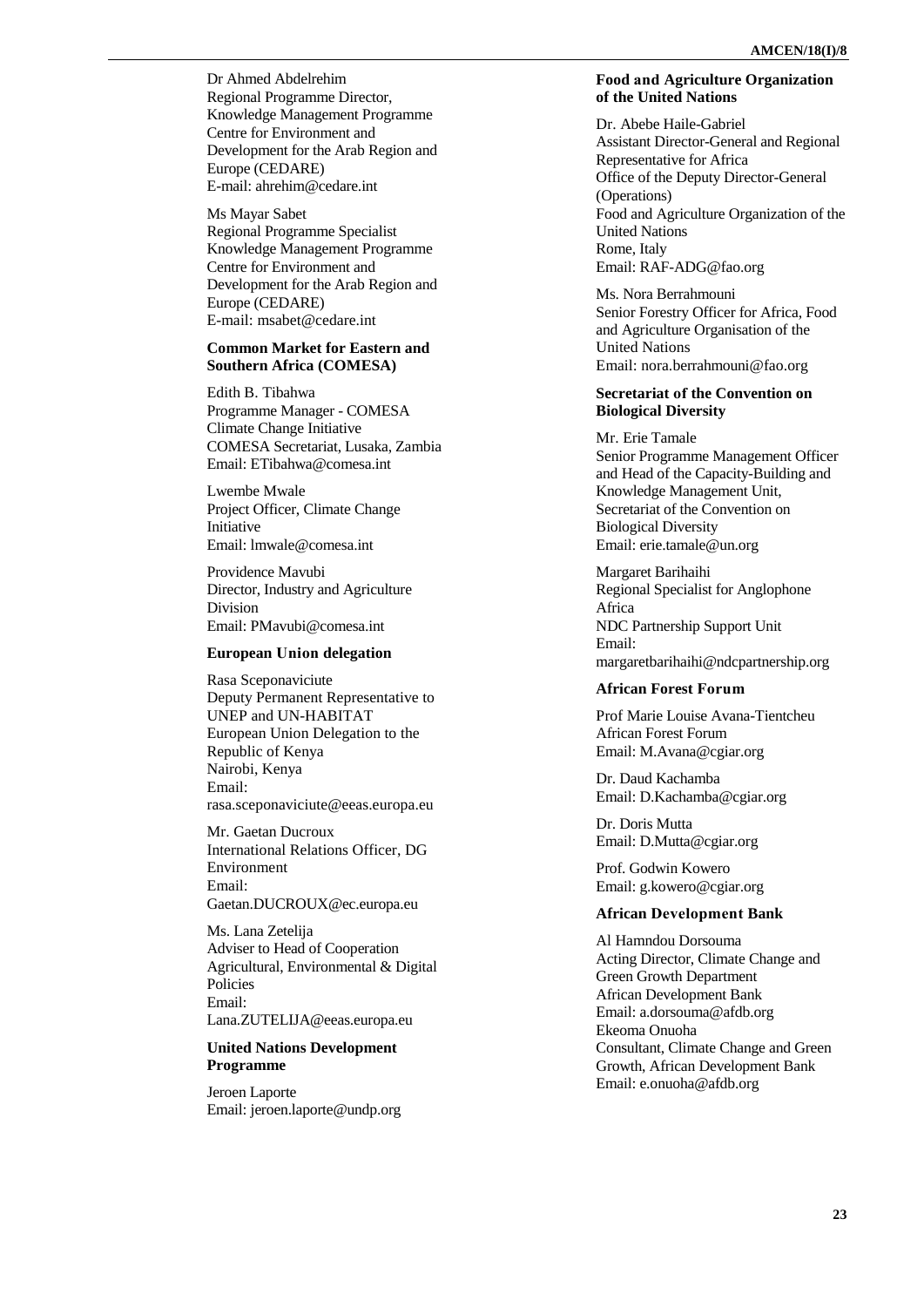Dr Ahmed Abdelrehim Regional Programme Director, Knowledge Management Programme Centre for Environment and Development for the Arab Region and Europe (CEDARE) E-mail[: ahrehim@cedare.int](mailto:ahrehim@cedare.int)

Ms Mayar Sabet Regional Programme Specialist Knowledge Management Programme Centre for Environment and Development for the Arab Region and Europe (CEDARE ) E -mail[: msabet@cedare.int](mailto:msabet@cedare.int)

## **Common Market for Eastern and Southern Africa (COMESA)**

Edith B. Tibahwa Programme Manager - COMESA Climate Change Initiative COMESA Secretariat, Lusaka, Zambia Email: ETibahwa@comesa.int

Lwembe Mwale Project Officer, Climate Change Initiative Email[: lmwale@comesa.int](mailto:lmwale@comesa.int)

Providence Mavubi Director, Industry and Agriculture Division Email[: PMavubi@comesa.int](mailto:PMavubi@comesa.int)

### **European Union delegation**

Rasa Sceponaviciute Deputy Permanent Representative to UNEP and UN -HABITAT European Union Delegation to the Republic of Kenya Nairobi, Kenya Email: [rasa.sceponaviciute@eeas.europa.eu](mailto:rasa.sceponaviciute@eeas.europa.eu)

Mr. Gaetan Ducroux International Relations Officer, DG Environment Email: [Gaetan.DUCROUX@ec.europa.eu](mailto:Gaetan.DUCROUX@ec.europa.eu)

Ms. Lana Zetelija Adviser to Head of Cooperation Agricultural, Environmental & Digital Policies Email: [Lana.ZUTELIJA@eeas.europa.eu](mailto:Lana.ZUTELIJA@eeas.europa.eu)

## **United Nations Development Programme**

Jeroen Laporte Email[: jeroen.laporte@undp.org](mailto:jeroen.laporte@undp.org)

#### **Food and Agriculture Organization of the United Nations**

Dr. Abebe Haile -Gabriel Assistant Director -General and Regional Representative for Africa Office of the Deputy Director -General (Operations) Food and Agriculture Organization of the United Nations Rome, Italy Email: RAF [-ADG@fao.org](mailto:RAF-ADG@fao.org)

Ms. Nora Berrahmouni Senior Forestry Officer for Africa, Food and Agriculture Organisation of the United Nations Email: nora.berrahmouni@fao.org

## **Secretariat of the Convention on Biological Diversity**

Mr. Erie Tamale Senior Programme Management Officer and Head of the Capacity -Building and Knowledge Management Unit, Secretariat of the Convention on Biological Diversity Email: erie.tamale@un.org

Margaret Barihaihi Regional Specialist for Anglophone Africa NDC Partnership Support Unit Email: [margaretbarihaihi@ndcpartnership.org](mailto:margaretbarihaihi@ndcpartnership.org)

### **African Forest Forum**

Prof Marie Louise Avana -Tientcheu African Forest Forum Email: [M.Avana@cgiar.org](mailto:M.Avana@cgiar.org)

Dr. Daud Kachamba Email: [D.Kachamba@cgiar.org](mailto:D.Kachamba@cgiar.org)

Dr. Doris Mutta Email: [D.Mutta@cgiar.org](mailto:D.Mutta@cgiar.org)

Prof. Godwin Kowero Email: [g.kowero@cgiar.org](mailto:g.kowero@cgiar.org)

#### **African Development Bank**

Al Hamndou Dorsouma Acting Director, Climate Change and Green Growth Department African Development Bank Email: [a.dorsouma@afdb.org](mailto:a.dorsouma@afdb.org) Ekeoma Onuoha Consultant, Climate Change and Green Growth, African Development Bank Email: [e.onuoha@afdb.org](mailto:e.onuoha@afdb.org)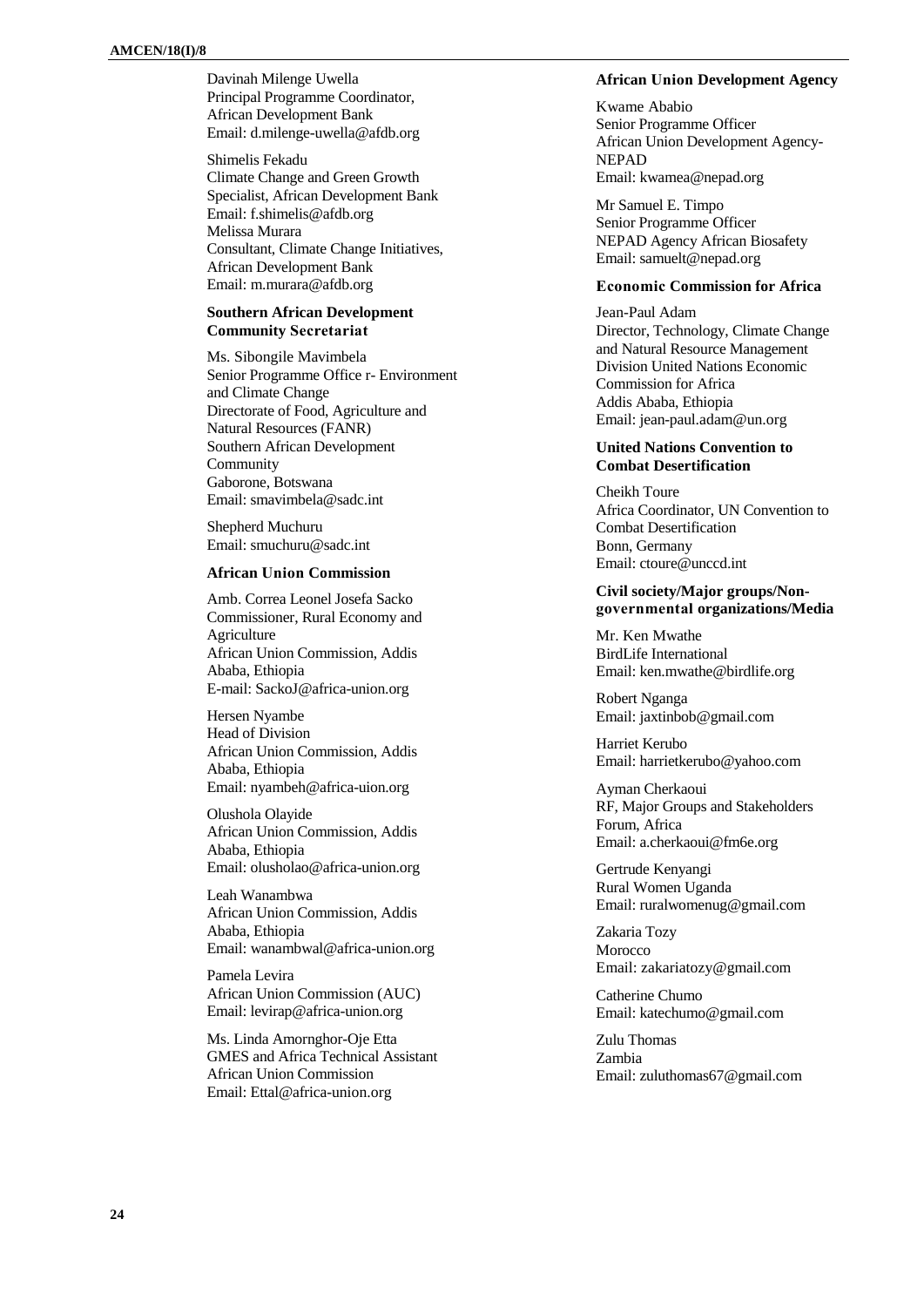Davinah Milenge Uwella Principal Programme Coordinator, African Development Bank Email[: d.milenge-uwella@afdb.org](mailto:d.milenge-uwella@afdb.org)

Shimelis Fekadu Climate Change and Green Growth Specialist, African Development Bank Email[: f.shimelis@afdb.org](mailto:f.shimelis@afdb.org) Melissa Murara Consultant, Climate Change Initiatives, African Development Bank Email[: m.murara@afdb.org](mailto:m.murara@afdb.org)

## **Southern African Development Community Secretariat**

Ms. Sibongile Mavimbela Senior Programme Office r- Environment and Climate Change Directorate of Food, Agriculture and Natural Resources (FANR) Southern African Development Community Gaborone, Botswana Email[: smavimbela@sadc.int](mailto:smavimbela@sadc.int)

Shepherd Muchuru Email[: smuchuru@sadc.int](mailto:smuchuru@sadc.int)

### **African Union Commission**

Amb. Correa Leonel Josefa Sacko Commissioner, Rural Economy and Agriculture African Union Commission, Addis Ababa, Ethiopia E-mail[: SackoJ@africa-union.org](mailto:SackoJ@africa-union.org)

Hersen Nyambe Head of Division African Union Commission, Addis Ababa, Ethiopia Email: nyambeh@africa-uion.org

Olushola Olayide African Union Commission, Addis Ababa, Ethiopia Email[: olusholao@africa-union.org](mailto:olusholao@africa-union.org)

Leah Wanambwa African Union Commission, Addis Ababa, Ethiopia Email: wanambwal@africa-union.org

Pamela Levira African Union Commission (AUC) Email[: levirap@africa-union.org](mailto:levirap@africa-union.org)

Ms. Linda Amornghor-Oje Etta GMES and Africa Technical Assistant African Union Commission Email: Ettal@africa-union.org

#### **African Union Development Agency**

Kwame Ababio Senior Programme Officer African Union Development Agency-NEPAD Email: [kwamea@nepad.org](mailto:kwamea@nepad.org)

Mr Samuel E. Timpo Senior Programme Officer NEPAD Agency African Biosafety Email: samuelt@nepad.org

## **Economic Commission for Africa**

Jean-Paul Adam Director, Technology, Climate Change and Natural Resource Management Division United Nations Economic Commission for Africa Addis Ababa, Ethiopia Email: jean-paul.adam@un.org

#### **United Nations Convention to Combat Desertification**

Cheikh Toure Africa Coordinator, UN Convention to Combat Desertification Bonn, Germany Email: [ctoure@unccd.int](mailto:ctoure@unccd.int)

## **Civil society/Major groups/Nongovernmental organizations/Media**

Mr. Ken Mwathe BirdLife International Email: [ken.mwathe@birdlife.org](mailto:ken.mwathe@birdlife.org)

Robert Nganga Email: [jaxtinbob@gmail.com](mailto:jaxtinbob@gmail.com)

Harriet Kerubo Email: harrietkerubo@yahoo.com

Ayman Cherkaoui RF, Major Groups and Stakeholders Forum, Africa Email: a.cherkaoui@fm6e.org

Gertrude Kenyangi Rural Women Uganda Email: [ruralwomenug@gmail.com](mailto:ruralwomenug@gmail.com)

Zakaria Tozy **Morocco** Email: zakariatozy@gmail.com

Catherine Chumo Email: [katechumo@gmail.com](mailto:katechumo@gmail.com)

Zulu Thomas Zambia Email: zuluthomas67@gmail.com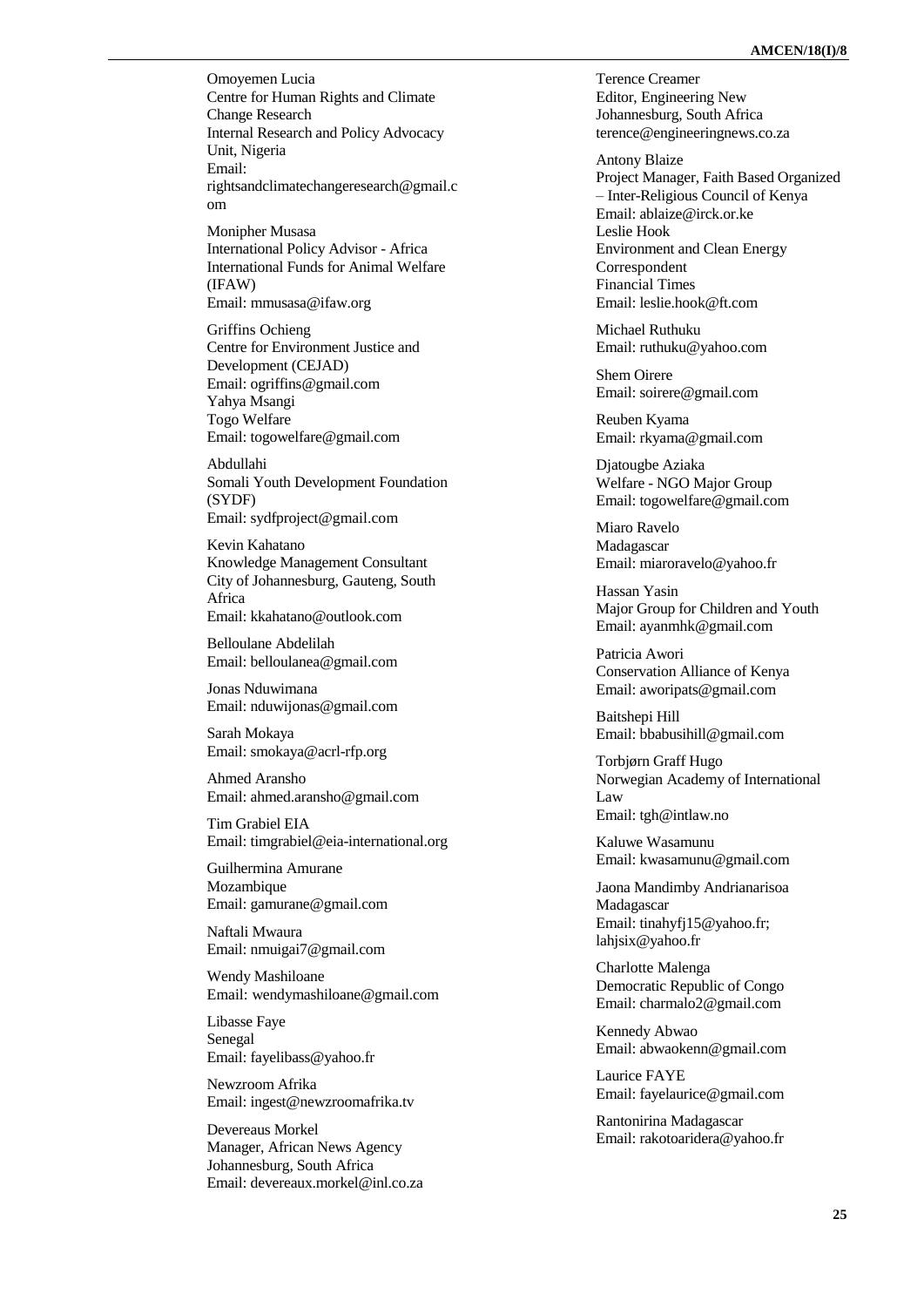Omoyemen Lucia Centre for Human Rights and Climate Change Research Internal Research and Policy Advocacy Unit, Nigeria Email: rightsandclimatechangeresearch@gmail.c om

Monipher Musasa International Policy Advisor - Africa International Funds for Animal Welfare (IFAW) Email[: mmusasa@ifaw.org](mailto:mmusasa@ifaw.org)

Griffins Ochieng Centre for Environment Justice and Development (CEJAD) Email: ogriffins@gmail.com Yahya Msangi Togo Welfare Email[: togowelfare@gmail.com](mailto:togowelfare@gmail.com)

Abdullahi Somali Youth Development Foundation (SYDF) Email: sydfproject@gmail.com

Kevin Kahatano Knowledge Management Consultant City of Johannesburg, Gauteng, South Africa Email[: kkahatano@outlook.com](mailto:kkahatano@outlook.com)

Belloulane Abdelilah Email: belloulanea@gmail.com

Jonas Nduwimana Email[: nduwijonas@gmail.com](mailto:nduwijonas@gmail.com)

Sarah Mokaya Email[: smokaya@acrl](mailto:smokaya@acrl-rfp.org) -rfp.org

Ahmed Aransho Email[: ahmed.aransho@gmail.com](mailto:ahmed.aransho@gmail.com)

Tim Grabiel EIA Email: timgrabiel@eia [-international.org](mailto:timgrabiel@eia-international.org)

Guilhermina Amurane Mozambique Email[: gamurane@gmail.com](mailto:gamurane@gmail.com)

Naftali Mwaura Email[: nmuigai7@gmail.com](mailto:nmuigai7@gmail.com)

Wendy Mashiloane Email: wendymashiloane@gmail.com

Libasse Faye Senegal Email: fayelibass@yahoo.fr

Newzroom Afrika Email[: ingest@newzroomafrika.tv](mailto:ingest@newzroomafrika.tv)

Devereaus Morkel Manager, African News Agency Johannesburg, South Africa Email[: devereaux.morkel@inl.co.za](mailto:devereaux.morkel@inl.co.za) Terence Creamer Editor, Engineering New Johannesburg, South Africa [terence@engineeringnews.co.za](mailto:terence@engineeringnews.co.za)

Antony Blaize Project Manager, Faith Based Organized – Inter-Religious Council of Kenya Email: [ablaize@irck.or.ke](mailto:ablaize@irck.or.ke) Leslie Hook Environment and Clean Energy **Correspondent** Financial Times Email: [leslie.hook@ft.com](mailto:leslie.hook@ft.com)

Michael Ruthuku Email: [ruthuku@yahoo.com](mailto:ruthuku@yahoo.com)

Shem Oirere Email: [soirere@gmail.com](mailto:soirere@gmail.com)

Reuben Kyama Email: [rkyama@gmail.com](mailto:rkyama@gmail.com)

Djatougbe Aziaka Welfare - NGO Major Group Email: [togowelfare@gmail.com](mailto:togowelfare@gmail.com)

Miaro Ravelo Madagascar Email: [miaroravelo@yahoo.fr](mailto:miaroravelo@yahoo.fr)

Hassan Yasin Major Group for Children and Youth Email: [ayanmhk@gmail.com](mailto:ayanmhk@gmail.com)

Patricia Awori Conservation Alliance of Kenya Email: [aworipats@gmail.com](mailto:aworipats@gmail.com)

Baitshepi Hill Email: [bbabusihill@gmail.com](mailto:bbabusihill@gmail.com)

Torbjørn Graff Hugo Norwegian Academy of International Law Email: tgh@intlaw.no

Kaluwe Wasamunu Email: kwasamunu@gmail.com

Jaona Mandimby Andrianarisoa Madagascar Email: [tinahyfj15@yahoo.fr;](mailto:tinahyfj15@yahoo.fr) lahjsix@yahoo.fr

Charlotte Malenga Democratic Republic of Congo Email: [charmalo2@gmail.com](mailto:charmalo2@gmail.com)

Kennedy Abwao Email: [abwaokenn@gmail.com](mailto:abwaokenn@gmail.com)

Laurice FAYE Email: [fayelaurice@gmail.com](mailto:fayelaurice@gmail.com)

Rantonirina Madagascar Email: [rakotoaridera@yahoo.fr](mailto:rakotoaridera@yahoo.fr)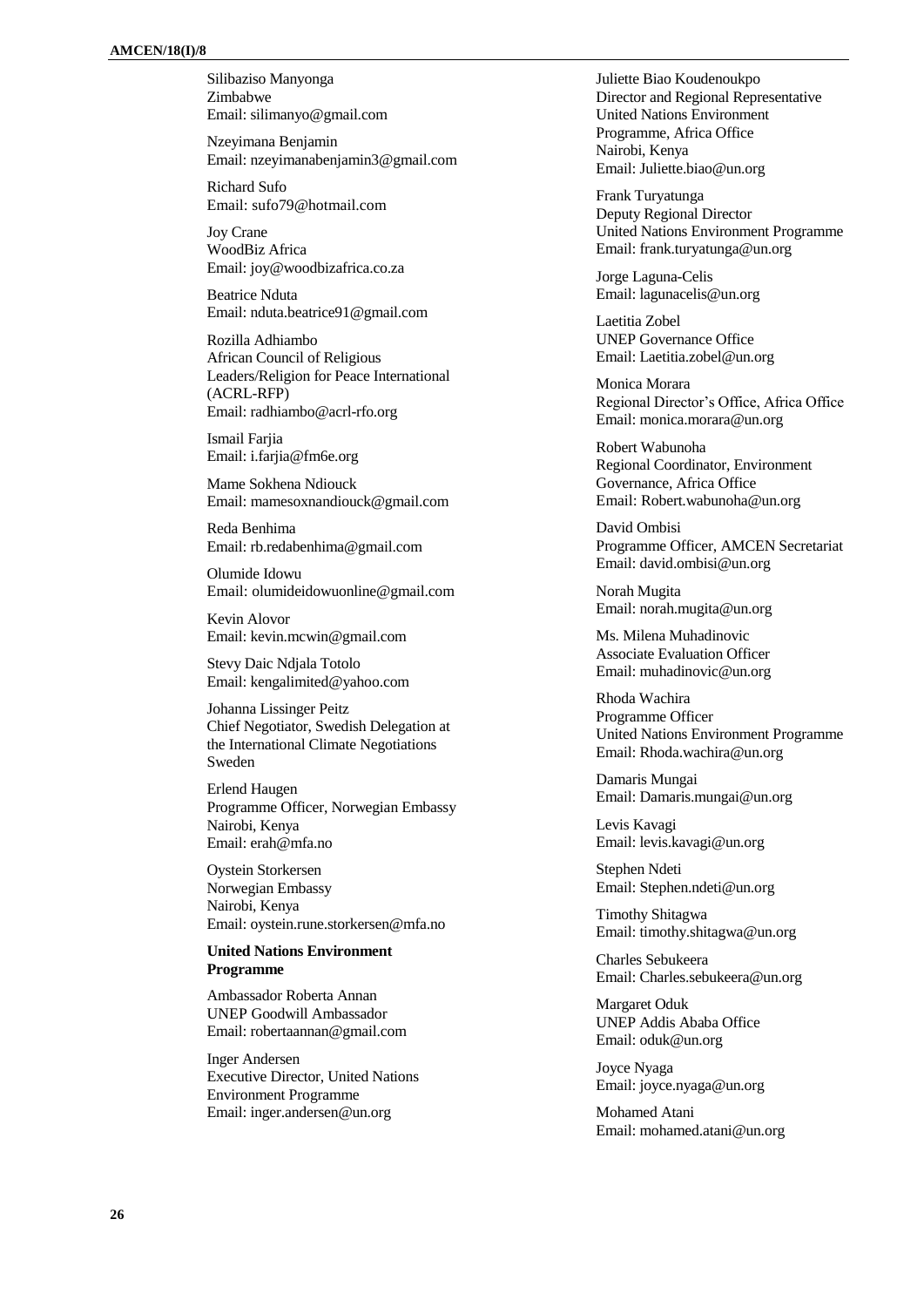Silibaziso Manyonga Zimbabwe Email[: silimanyo@gmail.com](mailto:silimanyo@gmail.com)

Nzeyimana Benjamin Email: nzeyimanabenjamin3@gmail.com

Richard Sufo Email: [sufo79@hotmail.com](mailto:sufo79@hotmail.com)

Joy Crane WoodBiz Africa Email[: joy@woodbizafrica.co.za](mailto:joy@woodbizafrica.co.za)

Beatrice Nduta Email[: nduta.beatrice91@gmail.com](mailto:nduta.beatrice91@gmail.com)

Rozilla Adhiambo African Council of Religious Leaders/Religion for Peace International (ACRL-RFP) Email[: radhiambo@acrl-rfo.org](mailto:radhiambo@acrl-rfo.org)

Ismail Fariia Email: i.farjia@fm6e.org

Mame Sokhena Ndiouck Email[: mamesoxnandiouck@gmail.com](mailto:mamesoxnandiouck@gmail.com)

Reda Benhima Email[: rb.redabenhima@gmail.com](mailto:rb.redabenhima@gmail.com)

Olumide Idowu Email: [olumideidowuonline@gmail.com](mailto:olumideidowuonline@gmail.com)

Kevin Alovor Email[: kevin.mcwin@gmail.com](mailto:kevin.mcwin@gmail.com)

Stevy Daic Ndjala Totolo Email: kengalimited@yahoo.com

Johanna Lissinger Peitz Chief Negotiator, Swedish Delegation at the International Climate Negotiations Sweden

Erlend Haugen Programme Officer, Norwegian Embassy Nairobi, Kenya Email: erah@mfa.no

Oystein Storkersen Norwegian Embassy Nairobi, Kenya Email: oystein.rune.storkersen@mfa.no

## **United Nations Environment Programme**

Ambassador Roberta Annan UNEP Goodwill Ambassador Email: robertaannan@gmail.com

Inger Andersen Executive Director, United Nations Environment Programme Email: inger.andersen@un.org

Juliette Biao Koudenoukpo Director and Regional Representative United Nations Environment Programme, Africa Office Nairobi, Kenya Email: [Juliette.biao@un.org](mailto:Juliette.biao@un.org)

Frank Turyatunga Deputy Regional Director United Nations Environment Programme Email: [frank.turyatunga@un.org](mailto:frank.turyatunga@un.org)

Jorge Laguna-Celis Email: lagunacelis@un.org

Laetitia Zobel UNEP Governance Office Email: Laetitia.zobel@un.org

Monica Morara Regional Director's Office, Africa Office Email: [monica.morara@un.org](mailto:monica.morara@un.org)

Robert Wabunoha Regional Coordinator, Environment Governance, Africa Office Email: [Robert.wabunoha@un.org](mailto:Robert.wabunoha@un.org)

David Ombisi Programme Officer, AMCEN Secretariat Email: [david.ombisi@un.org](mailto:david.ombisi@un.org)

Norah Mugita Email: norah.mugita@un.org

Ms. Milena Muhadinovic Associate Evaluation Officer Email: [muhadinovic@un.org](mailto:muhadinovic@un.org)

Rhoda Wachira Programme Officer United Nations Environment Programme Email: [Rhoda.wachira@un.org](mailto:Rhoda.wachira@un.org)

Damaris Mungai Email: [Damaris.mungai@un.org](mailto:Damaris.mungai@un.org)

Levis Kavagi Email: [levis.kavagi@un.org](mailto:levis.kavagi@un.org)

Stephen Ndeti Email: [Stephen.ndeti@un.org](mailto:Stephen.ndeti@un.org)

Timothy Shitagwa Email: [timothy.shitagwa@un.org](mailto:timothy.shitagwa@un.org)

Charles Sebukeera Email: [Charles.sebukeera@un.org](mailto:Charles.sebukeera@un.org)

Margaret Oduk UNEP Addis Ababa Office Email: [oduk@un.org](mailto:oduk@un.org)

Joyce Nyaga Email: [joyce.nyaga@un.org](mailto:joyce.nyaga@un.org)

Mohamed Atani Email: [mohamed.atani@un.org](mailto:mohamed.atani@un.org)